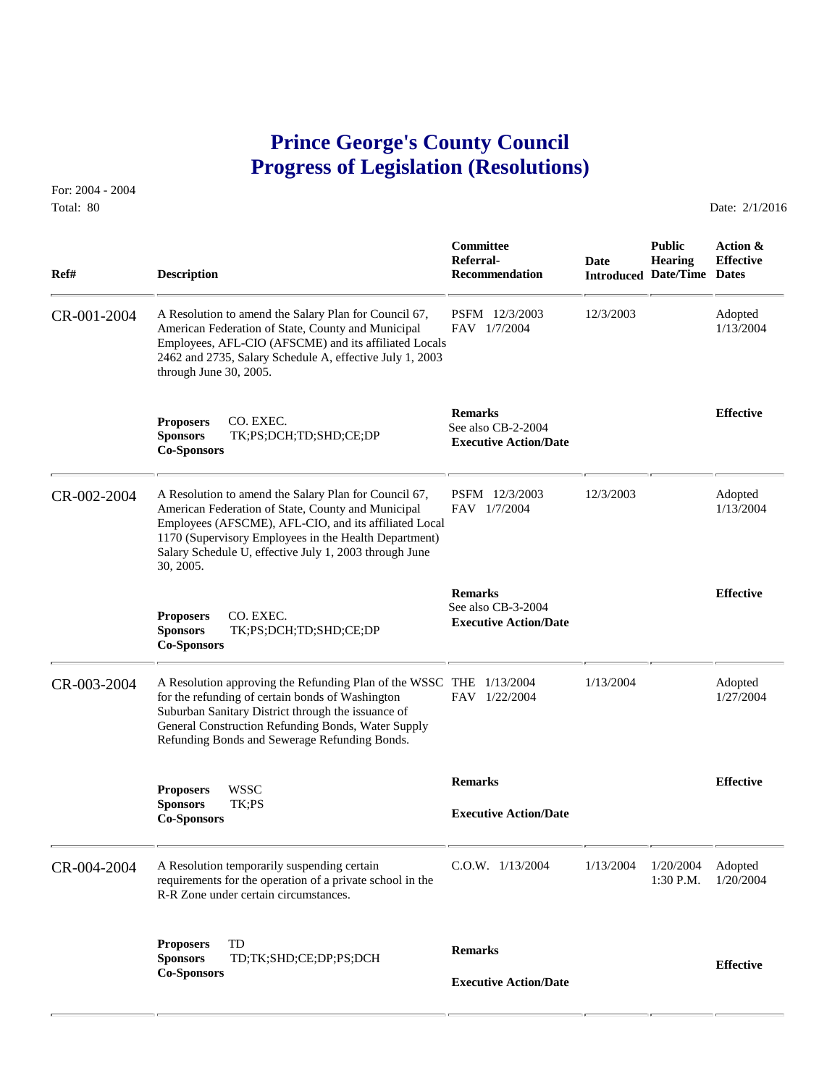## **Prince George's County Council Progress of Legislation (Resolutions)**

For: 2004 - 2004 Total: 80 Date: 2/1/2016

 **Committee Public Action & Referral- Date Hearing Effective Ref# Description Recommendation Introduced Date/Time Dates** CR-001-2004 A Resolution to amend the Salary Plan for Council 67, PSFM 12/3/2003 12/3/2003 Adopted<br>American Federation of State, County and Municipal FAV 1/7/2004 1/13/2004 1/13/2004 American Federation of State, County and Municipal Employees, AFL-CIO (AFSCME) and its affiliated Locals 2462 and 2735, Salary Schedule A, effective July 1, 2003 through June 30, 2005. **Remarks Effective Effective Sponsors Effective Sponsors TK;PS;DCH;TD;SHD;CE;DP Executive Action/Date Co-Sponsors Co-Sponsors CO. EXEC. Co-Sponsors CO. EXECTER** CR-002-2004 A Resolution to amend the Salary Plan for Council 67, PSFM 12/3/2003 12/3/2003 Adopted<br>American Federation of State, County and Municipal FAV 1/7/2004 1/13/2004 1/13/2004 American Federation of State, County and Municipal Employees (AFSCME), AFL-CIO, and its affiliated Local 1170 (Supervisory Employees in the Health Department) Salary Schedule U, effective July 1, 2003 through June 30, 2005.  **Remarks Effective** See also CB-3-2004 **Proposers** CO. EXEC.<br> **Sponsors** TK;PS;DCH;TD;SHD;CE;DP **Executive Action/Date Co-Sponsors**  CR-003-2004 A Resolution approving the Refunding Plan of the WSSC THE 1/13/2004 1/13/2004 1/13/2004 1/27/2004 for the refunding of certain bonds of Washington Suburban Sanitary District through the issuance of General Construction Refunding Bonds, Water Supply Refunding Bonds and Sewerage Refunding Bonds.  **Remarks Effective Proposers** WSSC **Sponsors** TK;PS **Executive Action/Date Co-Sponsors**  CR-004-2004 A Resolution temporarily suspending certain C.O.W. 1/13/2004 1/13/2004 1/20/2004 Adopted requirements for the operation of a private school in the 1:30 P.M. 1/20/2004 requirements for the operation of a private school in the R-R Zone under certain circumstances. **Proposers TD**<br> **Sponsors TD**;TK;SHD;CE;DP;PS;DCH **Effective Executive Action/Date Effective Co-Sponsors**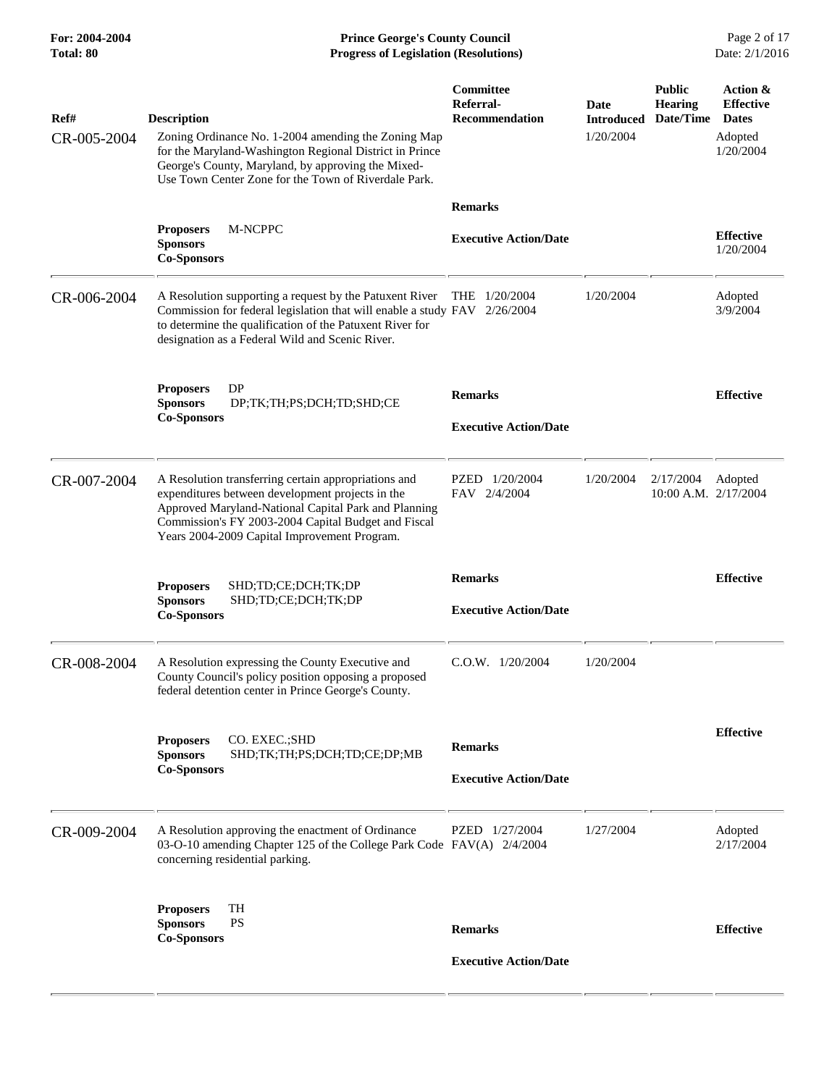| For: 2004-2004<br>Total: 80 | <b>Prince George's County Council</b><br>Date: 2/1/2016<br><b>Progress of Legislation (Resolutions)</b>                                                                                                                                                                 |                                                        |                                        |                                              |                                                                      |
|-----------------------------|-------------------------------------------------------------------------------------------------------------------------------------------------------------------------------------------------------------------------------------------------------------------------|--------------------------------------------------------|----------------------------------------|----------------------------------------------|----------------------------------------------------------------------|
| Ref#<br>CR-005-2004         | <b>Description</b><br>Zoning Ordinance No. 1-2004 amending the Zoning Map<br>for the Maryland-Washington Regional District in Prince<br>George's County, Maryland, by approving the Mixed-<br>Use Town Center Zone for the Town of Riverdale Park.                      | <b>Committee</b><br>Referral-<br><b>Recommendation</b> | Date<br><b>Introduced</b><br>1/20/2004 | <b>Public</b><br><b>Hearing</b><br>Date/Time | Action &<br><b>Effective</b><br><b>Dates</b><br>Adopted<br>1/20/2004 |
|                             | M-NCPPC<br><b>Proposers</b><br><b>Sponsors</b><br><b>Co-Sponsors</b>                                                                                                                                                                                                    | <b>Remarks</b><br><b>Executive Action/Date</b>         |                                        |                                              | <b>Effective</b><br>1/20/2004                                        |
| CR-006-2004                 | A Resolution supporting a request by the Patuxent River<br>Commission for federal legislation that will enable a study FAV 2/26/2004<br>to determine the qualification of the Patuxent River for<br>designation as a Federal Wild and Scenic River.                     | THE $1/20/2004$                                        | 1/20/2004                              |                                              | Adopted<br>3/9/2004                                                  |
|                             | DP<br><b>Proposers</b><br><b>Sponsors</b><br>DP;TK;TH;PS;DCH;TD;SHD;CE<br><b>Co-Sponsors</b>                                                                                                                                                                            | <b>Remarks</b><br><b>Executive Action/Date</b>         |                                        |                                              | <b>Effective</b>                                                     |
| CR-007-2004                 | A Resolution transferring certain appropriations and<br>expenditures between development projects in the<br>Approved Maryland-National Capital Park and Planning<br>Commission's FY 2003-2004 Capital Budget and Fiscal<br>Years 2004-2009 Capital Improvement Program. | PZED 1/20/2004<br>FAV 2/4/2004                         | 1/20/2004                              | 2/17/2004<br>10:00 A.M. 2/17/2004            | Adopted                                                              |
|                             | SHD;TD;CE;DCH;TK;DP<br><b>Proposers</b><br><b>Sponsors</b><br>SHD;TD;CE;DCH;TK;DP<br><b>Co-Sponsors</b>                                                                                                                                                                 | <b>Remarks</b><br><b>Executive Action/Date</b>         |                                        |                                              | <b>Effective</b>                                                     |
| CR-008-2004                 | A Resolution expressing the County Executive and<br>County Council's policy position opposing a proposed<br>federal detention center in Prince George's County.                                                                                                         | $C.0.W.$ $1/20/2004$                                   | 1/20/2004                              |                                              |                                                                      |
|                             | CO. EXEC.;SHD<br><b>Proposers</b><br><b>Sponsors</b><br>SHD;TK;TH;PS;DCH;TD;CE;DP;MB<br><b>Co-Sponsors</b>                                                                                                                                                              | <b>Remarks</b><br><b>Executive Action/Date</b>         |                                        |                                              | <b>Effective</b>                                                     |
| CR-009-2004                 | A Resolution approving the enactment of Ordinance<br>03-O-10 amending Chapter 125 of the College Park Code FAV(A) 2/4/2004<br>concerning residential parking.                                                                                                           | PZED 1/27/2004                                         | 1/27/2004                              |                                              | Adopted<br>2/17/2004                                                 |
|                             | TH<br><b>Proposers</b><br><b>PS</b><br><b>Sponsors</b><br><b>Co-Sponsors</b>                                                                                                                                                                                            | <b>Remarks</b><br><b>Executive Action/Date</b>         |                                        |                                              | <b>Effective</b>                                                     |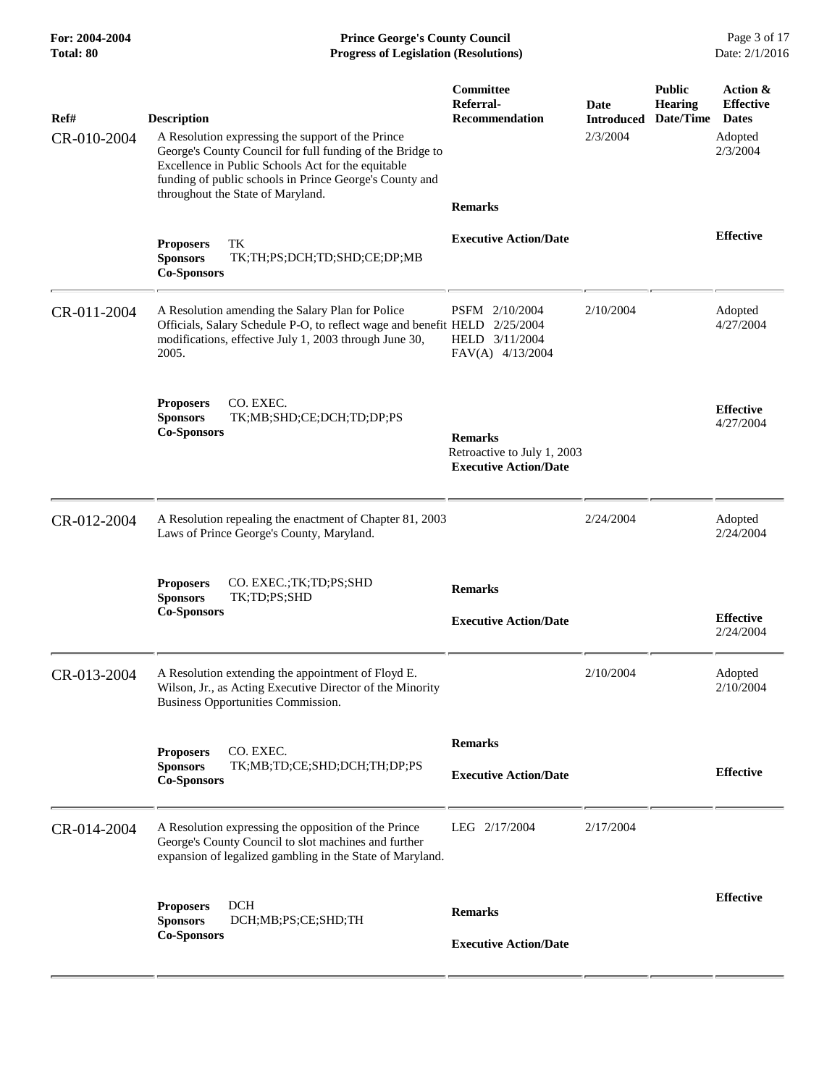| For: 2004-2004<br>Total: 80 | <b>Prince George's County Council</b><br><b>Progress of Legislation (Resolutions)</b> |                                                                                                                                                                                                                                                                      |                                                                                                            |           |               | Page 3 of 17<br>Date: 2/1/2016 |                             |                                                                     |
|-----------------------------|---------------------------------------------------------------------------------------|----------------------------------------------------------------------------------------------------------------------------------------------------------------------------------------------------------------------------------------------------------------------|------------------------------------------------------------------------------------------------------------|-----------|---------------|--------------------------------|-----------------------------|---------------------------------------------------------------------|
| Ref#<br>CR-010-2004         | <b>Description</b>                                                                    | A Resolution expressing the support of the Prince<br>George's County Council for full funding of the Bridge to<br>Excellence in Public Schools Act for the equitable<br>funding of public schools in Prince George's County and<br>throughout the State of Maryland. | Committee<br>Referral-<br>Date<br><b>Recommendation</b><br><b>Introduced</b><br>2/3/2004<br><b>Remarks</b> |           | <b>Public</b> |                                | <b>Hearing</b><br>Date/Time | Action &<br><b>Effective</b><br><b>Dates</b><br>Adopted<br>2/3/2004 |
|                             | <b>Proposers</b><br><b>Sponsors</b><br><b>Co-Sponsors</b>                             | TK<br>TK;TH;PS;DCH;TD;SHD;CE;DP;MB                                                                                                                                                                                                                                   | <b>Executive Action/Date</b>                                                                               |           |               | <b>Effective</b>               |                             |                                                                     |
| CR-011-2004                 | 2005.                                                                                 | A Resolution amending the Salary Plan for Police<br>Officials, Salary Schedule P-O, to reflect wage and benefit HELD 2/25/2004<br>modifications, effective July 1, 2003 through June 30,                                                                             | PSFM 2/10/2004<br>HELD 3/11/2004<br>FAV(A) 4/13/2004                                                       | 2/10/2004 |               | Adopted<br>4/27/2004           |                             |                                                                     |
|                             | <b>Proposers</b><br><b>Sponsors</b><br><b>Co-Sponsors</b>                             | CO. EXEC.<br>TK;MB;SHD;CE;DCH;TD;DP;PS                                                                                                                                                                                                                               | <b>Remarks</b><br>Retroactive to July 1, 2003<br><b>Executive Action/Date</b>                              |           |               | <b>Effective</b><br>4/27/2004  |                             |                                                                     |
| CR-012-2004                 |                                                                                       | A Resolution repealing the enactment of Chapter 81, 2003<br>Laws of Prince George's County, Maryland.                                                                                                                                                                |                                                                                                            | 2/24/2004 |               | Adopted<br>2/24/2004           |                             |                                                                     |
|                             | <b>Proposers</b><br><b>Sponsors</b><br><b>Co-Sponsors</b>                             | CO. EXEC.;TK;TD;PS;SHD<br>TK;TD;PS;SHD                                                                                                                                                                                                                               | <b>Remarks</b><br><b>Executive Action/Date</b>                                                             |           |               | <b>Effective</b><br>2/24/2004  |                             |                                                                     |
| CR-013-2004                 |                                                                                       | A Resolution extending the appointment of Floyd E.<br>Wilson, Jr., as Acting Executive Director of the Minority<br>Business Opportunities Commission.                                                                                                                |                                                                                                            | 2/10/2004 |               | Adopted<br>2/10/2004           |                             |                                                                     |
|                             | <b>Proposers</b><br><b>Sponsors</b><br><b>Co-Sponsors</b>                             | CO. EXEC.<br>TK;MB;TD;CE;SHD;DCH;TH;DP;PS                                                                                                                                                                                                                            | <b>Remarks</b><br><b>Executive Action/Date</b>                                                             |           |               | <b>Effective</b>               |                             |                                                                     |
| CR-014-2004                 |                                                                                       | A Resolution expressing the opposition of the Prince<br>George's County Council to slot machines and further<br>expansion of legalized gambling in the State of Maryland.                                                                                            | LEG 2/17/2004                                                                                              | 2/17/2004 |               |                                |                             |                                                                     |
|                             | <b>Proposers</b><br><b>Sponsors</b><br><b>Co-Sponsors</b>                             | <b>DCH</b><br>DCH;MB;PS;CE;SHD;TH                                                                                                                                                                                                                                    | <b>Remarks</b><br><b>Executive Action/Date</b>                                                             |           |               | <b>Effective</b>               |                             |                                                                     |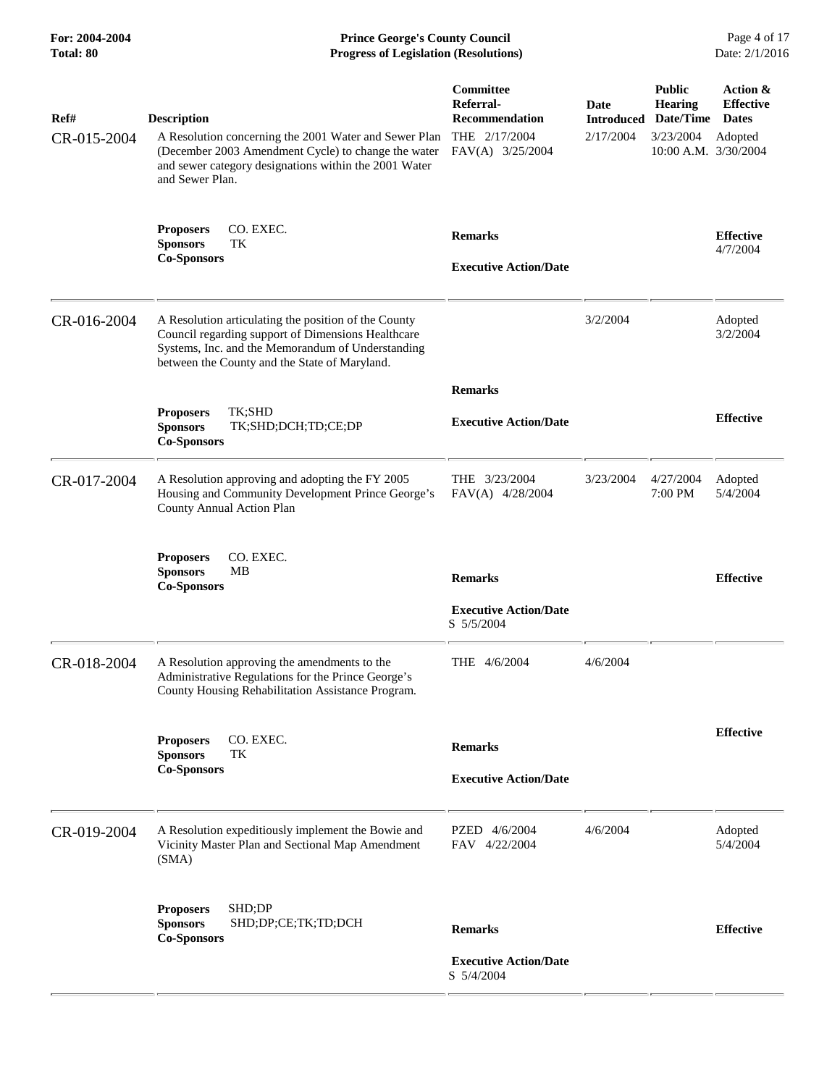| For: 2004-2004<br><b>Total: 80</b> | <b>Prince George's County Council</b><br>Date: 2/1/2016<br><b>Progress of Legislation (Resolutions)</b>                                                                                                          |                                                                                      |                   |                                                                                                     |                                                         |
|------------------------------------|------------------------------------------------------------------------------------------------------------------------------------------------------------------------------------------------------------------|--------------------------------------------------------------------------------------|-------------------|-----------------------------------------------------------------------------------------------------|---------------------------------------------------------|
| Ref#<br>CR-015-2004                | <b>Description</b><br>A Resolution concerning the 2001 Water and Sewer Plan<br>(December 2003 Amendment Cycle) to change the water<br>and sewer category designations within the 2001 Water<br>and Sewer Plan.   | Committee<br>Referral-<br><b>Recommendation</b><br>THE 2/17/2004<br>FAV(A) 3/25/2004 | Date<br>2/17/2004 | <b>Public</b><br><b>Hearing</b><br><b>Introduced Date/Time</b><br>3/23/2004<br>10:00 A.M. 3/30/2004 | Action &<br><b>Effective</b><br><b>Dates</b><br>Adopted |
|                                    | CO. EXEC.<br><b>Proposers</b><br><b>Sponsors</b><br>TК<br><b>Co-Sponsors</b>                                                                                                                                     | <b>Remarks</b><br><b>Executive Action/Date</b>                                       |                   |                                                                                                     | <b>Effective</b><br>4/7/2004                            |
| CR-016-2004                        | A Resolution articulating the position of the County<br>Council regarding support of Dimensions Healthcare<br>Systems, Inc. and the Memorandum of Understanding<br>between the County and the State of Maryland. |                                                                                      | 3/2/2004          |                                                                                                     | Adopted<br>3/2/2004                                     |
|                                    | TK;SHD<br><b>Proposers</b><br>TK;SHD;DCH;TD;CE;DP<br><b>Sponsors</b><br><b>Co-Sponsors</b>                                                                                                                       | <b>Remarks</b><br><b>Executive Action/Date</b>                                       |                   |                                                                                                     | <b>Effective</b>                                        |
| CR-017-2004                        | A Resolution approving and adopting the FY 2005<br>Housing and Community Development Prince George's<br>County Annual Action Plan                                                                                | THE 3/23/2004<br>FAV(A) 4/28/2004                                                    | 3/23/2004         | 4/27/2004<br>7:00 PM                                                                                | Adopted<br>5/4/2004                                     |
|                                    | CO. EXEC.<br><b>Proposers</b><br><b>Sponsors</b><br>MВ<br><b>Co-Sponsors</b>                                                                                                                                     | <b>Remarks</b><br><b>Executive Action/Date</b><br>S 5/5/2004                         |                   |                                                                                                     | <b>Effective</b>                                        |
| CR-018-2004                        | A Resolution approving the amendments to the<br>Administrative Regulations for the Prince George's<br>County Housing Rehabilitation Assistance Program.                                                          | THE 4/6/2004                                                                         | 4/6/2004          |                                                                                                     |                                                         |
|                                    | CO. EXEC.<br><b>Proposers</b><br><b>Sponsors</b><br>TК<br><b>Co-Sponsors</b>                                                                                                                                     | <b>Remarks</b><br><b>Executive Action/Date</b>                                       |                   |                                                                                                     | <b>Effective</b>                                        |
| CR-019-2004                        | A Resolution expeditiously implement the Bowie and<br>Vicinity Master Plan and Sectional Map Amendment<br>(SMA)                                                                                                  | PZED 4/6/2004<br>FAV 4/22/2004                                                       | 4/6/2004          |                                                                                                     | Adopted<br>5/4/2004                                     |
|                                    | SHD;DP<br><b>Proposers</b><br><b>Sponsors</b><br>SHD;DP;CE;TK;TD;DCH<br><b>Co-Sponsors</b>                                                                                                                       | <b>Remarks</b><br><b>Executive Action/Date</b>                                       |                   |                                                                                                     | <b>Effective</b>                                        |
|                                    |                                                                                                                                                                                                                  | S 5/4/2004                                                                           |                   |                                                                                                     |                                                         |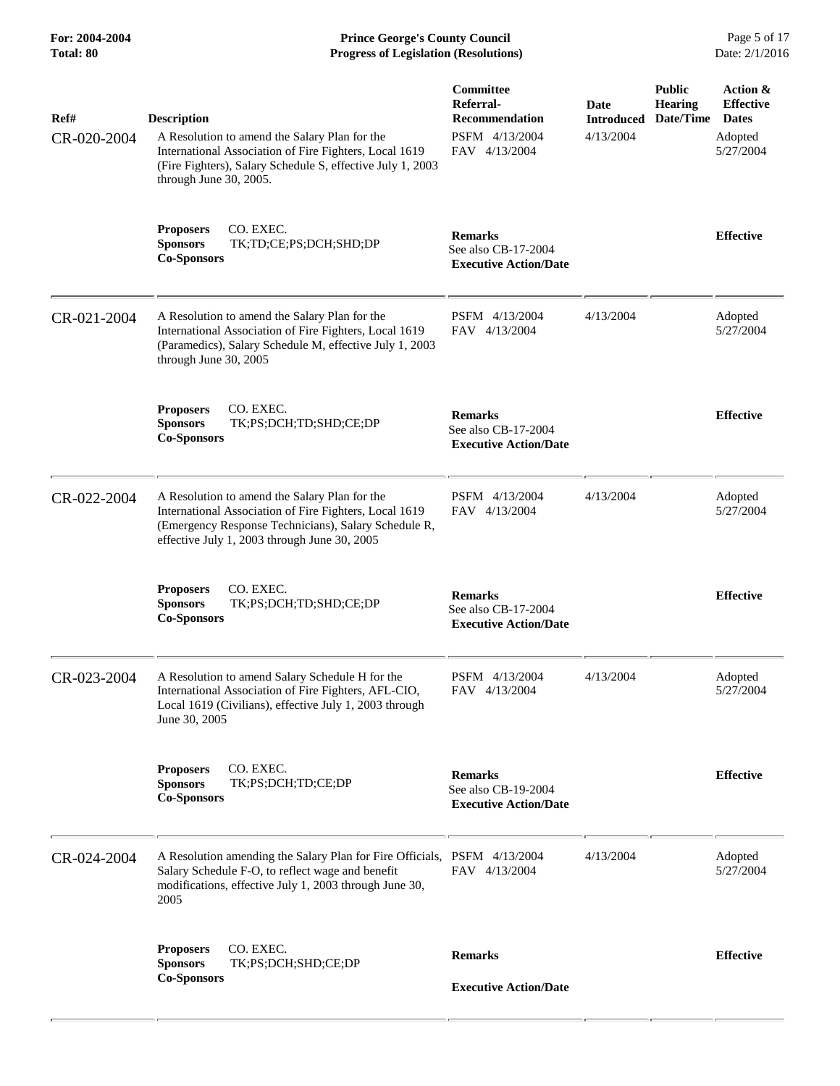**For: 2004-2004 Prince George's County Council** Page 5 of 17<br> **Prince George's County Council** Page 5 of 17<br> **Progress of Legislation (Resolutions)** Date: 2/1/2016 **Total: 80 Progress of Legislation (Resolutions)** 

| Ref#<br>CR-020-2004 | <b>Description</b><br>A Resolution to amend the Salary Plan for the<br>International Association of Fire Fighters, Local 1619<br>(Fire Fighters), Salary Schedule S, effective July 1, 2003<br>through June 30, 2005. | Committee<br>Referral-<br><b>Recommendation</b><br>PSFM 4/13/2004<br>FAV 4/13/2004 | Date<br><b>Introduced</b><br>4/13/2004 | <b>Public</b><br><b>Hearing</b><br>Date/Time | Action &<br><b>Effective</b><br><b>Dates</b><br>Adopted<br>5/27/2004 |
|---------------------|-----------------------------------------------------------------------------------------------------------------------------------------------------------------------------------------------------------------------|------------------------------------------------------------------------------------|----------------------------------------|----------------------------------------------|----------------------------------------------------------------------|
|                     | CO. EXEC.<br><b>Proposers</b><br><b>Sponsors</b><br>TK;TD;CE;PS;DCH;SHD;DP<br><b>Co-Sponsors</b>                                                                                                                      | <b>Remarks</b><br>See also CB-17-2004<br><b>Executive Action/Date</b>              |                                        |                                              | <b>Effective</b>                                                     |
| CR-021-2004         | A Resolution to amend the Salary Plan for the<br>International Association of Fire Fighters, Local 1619<br>(Paramedics), Salary Schedule M, effective July 1, 2003<br>through June 30, 2005                           | PSFM 4/13/2004<br>FAV 4/13/2004                                                    | 4/13/2004                              |                                              | Adopted<br>5/27/2004                                                 |
|                     | <b>Proposers</b><br>CO. EXEC.<br><b>Sponsors</b><br>TK;PS;DCH;TD;SHD;CE;DP<br><b>Co-Sponsors</b>                                                                                                                      | <b>Remarks</b><br>See also CB-17-2004<br><b>Executive Action/Date</b>              |                                        |                                              | <b>Effective</b>                                                     |
| CR-022-2004         | A Resolution to amend the Salary Plan for the<br>International Association of Fire Fighters, Local 1619<br>(Emergency Response Technicians), Salary Schedule R,<br>effective July 1, 2003 through June 30, 2005       | PSFM 4/13/2004<br>FAV 4/13/2004                                                    | 4/13/2004                              |                                              | Adopted<br>5/27/2004                                                 |
|                     | CO. EXEC.<br><b>Proposers</b><br><b>Sponsors</b><br>TK;PS;DCH;TD;SHD;CE;DP<br><b>Co-Sponsors</b>                                                                                                                      | <b>Remarks</b><br>See also CB-17-2004<br><b>Executive Action/Date</b>              |                                        |                                              | <b>Effective</b>                                                     |
| CR-023-2004         | A Resolution to amend Salary Schedule H for the<br>International Association of Fire Fighters, AFL-CIO,<br>Local 1619 (Civilians), effective July 1, 2003 through<br>June 30, 2005                                    | PSFM 4/13/2004<br>FAV 4/13/2004                                                    | 4/13/2004                              |                                              | Adopted<br>5/27/2004                                                 |
|                     | CO. EXEC.<br><b>Proposers</b><br><b>Sponsors</b><br>TK;PS;DCH;TD;CE;DP<br><b>Co-Sponsors</b>                                                                                                                          | <b>Remarks</b><br>See also CB-19-2004<br><b>Executive Action/Date</b>              |                                        |                                              | <b>Effective</b>                                                     |
| CR-024-2004         | A Resolution amending the Salary Plan for Fire Officials, PSFM 4/13/2004<br>Salary Schedule F-O, to reflect wage and benefit<br>modifications, effective July 1, 2003 through June 30,<br>2005                        | FAV 4/13/2004                                                                      | 4/13/2004                              |                                              | Adopted<br>5/27/2004                                                 |
|                     | CO. EXEC.<br><b>Proposers</b><br><b>Sponsors</b><br>TK;PS;DCH;SHD;CE;DP<br><b>Co-Sponsors</b>                                                                                                                         | <b>Remarks</b><br><b>Executive Action/Date</b>                                     |                                        |                                              | <b>Effective</b>                                                     |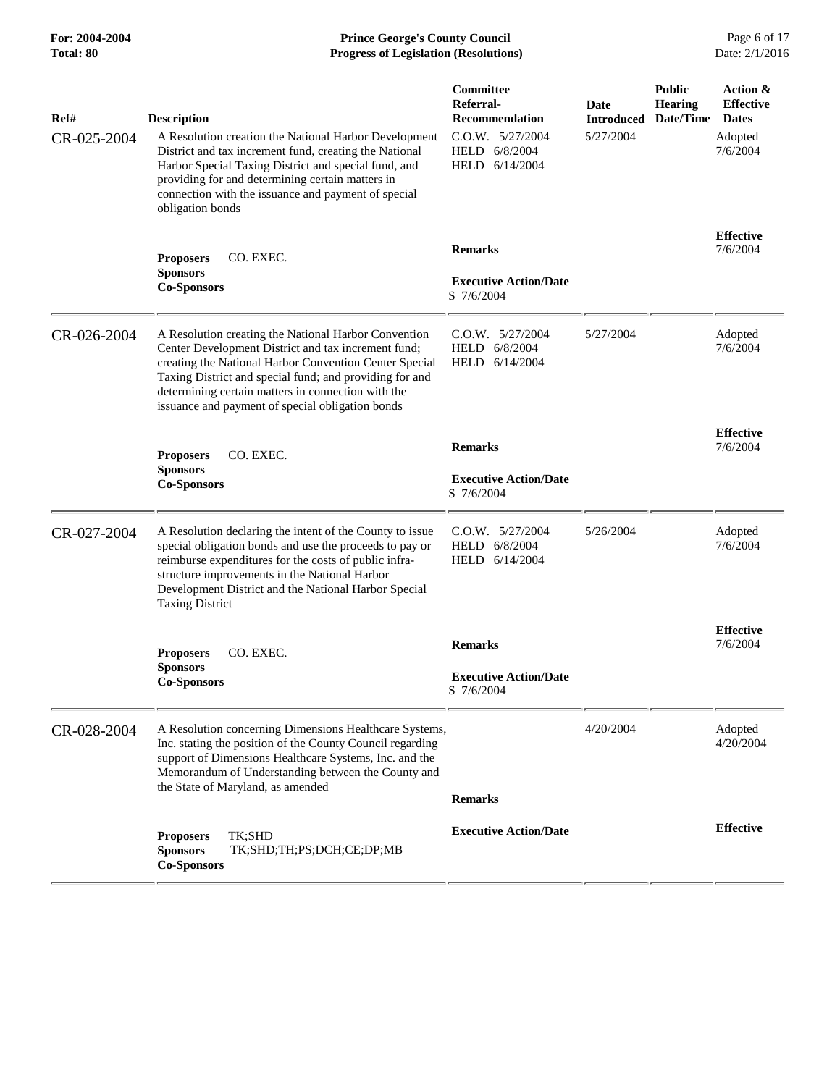**For: 2004-2004 Prince George's County Council** Page 6 of 17<br> **Prince George's County Council** Page 6 of 17<br> **Progress of Legislation (Resolutions)** Date: 2/1/2016 **Total: 80 Progress of Legislation (Resolutions)** 

| Ref#<br>CR-025-2004 | <b>Description</b><br>A Resolution creation the National Harbor Development<br>District and tax increment fund, creating the National<br>Harbor Special Taxing District and special fund, and<br>providing for and determining certain matters in<br>connection with the issuance and payment of special<br>obligation bonds               | Committee<br>Referral-<br><b>Recommendation</b><br>C.O.W. 5/27/2004<br>HELD 6/8/2004<br>HELD 6/14/2004 | <b>Date</b><br><b>Introduced</b><br>5/27/2004 | <b>Public</b><br><b>Hearing</b><br>Date/Time | Action &<br><b>Effective</b><br><b>Dates</b><br>Adopted<br>7/6/2004 |
|---------------------|--------------------------------------------------------------------------------------------------------------------------------------------------------------------------------------------------------------------------------------------------------------------------------------------------------------------------------------------|--------------------------------------------------------------------------------------------------------|-----------------------------------------------|----------------------------------------------|---------------------------------------------------------------------|
|                     | CO. EXEC.<br><b>Proposers</b><br><b>Sponsors</b><br><b>Co-Sponsors</b>                                                                                                                                                                                                                                                                     | <b>Remarks</b><br><b>Executive Action/Date</b><br>S 7/6/2004                                           |                                               |                                              | <b>Effective</b><br>7/6/2004                                        |
| CR-026-2004         | A Resolution creating the National Harbor Convention<br>Center Development District and tax increment fund;<br>creating the National Harbor Convention Center Special<br>Taxing District and special fund; and providing for and<br>determining certain matters in connection with the<br>issuance and payment of special obligation bonds | C.O.W. 5/27/2004<br>HELD 6/8/2004<br>HELD 6/14/2004                                                    | 5/27/2004                                     |                                              | Adopted<br>7/6/2004                                                 |
|                     | CO. EXEC.<br><b>Proposers</b><br><b>Sponsors</b><br><b>Co-Sponsors</b>                                                                                                                                                                                                                                                                     | <b>Remarks</b><br><b>Executive Action/Date</b><br>S 7/6/2004                                           |                                               |                                              | <b>Effective</b><br>7/6/2004                                        |
| CR-027-2004         | A Resolution declaring the intent of the County to issue<br>special obligation bonds and use the proceeds to pay or<br>reimburse expenditures for the costs of public infra-<br>structure improvements in the National Harbor<br>Development District and the National Harbor Special<br><b>Taxing District</b>                            | C.O.W. 5/27/2004<br>HELD 6/8/2004<br>HELD 6/14/2004                                                    | 5/26/2004                                     |                                              | Adopted<br>7/6/2004                                                 |
|                     | CO. EXEC.<br><b>Proposers</b><br><b>Sponsors</b><br><b>Co-Sponsors</b>                                                                                                                                                                                                                                                                     | <b>Remarks</b><br><b>Executive Action/Date</b><br>S 7/6/2004                                           |                                               |                                              | <b>Effective</b><br>7/6/2004                                        |
| CR-028-2004         | A Resolution concerning Dimensions Healthcare Systems,<br>Inc. stating the position of the County Council regarding<br>support of Dimensions Healthcare Systems, Inc. and the<br>Memorandum of Understanding between the County and<br>the State of Maryland, as amended                                                                   | <b>Remarks</b>                                                                                         | 4/20/2004                                     |                                              | Adopted<br>4/20/2004                                                |
|                     | TK;SHD<br><b>Proposers</b><br><b>Sponsors</b><br>TK;SHD;TH;PS;DCH;CE;DP;MB<br><b>Co-Sponsors</b>                                                                                                                                                                                                                                           | <b>Executive Action/Date</b>                                                                           |                                               |                                              | <b>Effective</b>                                                    |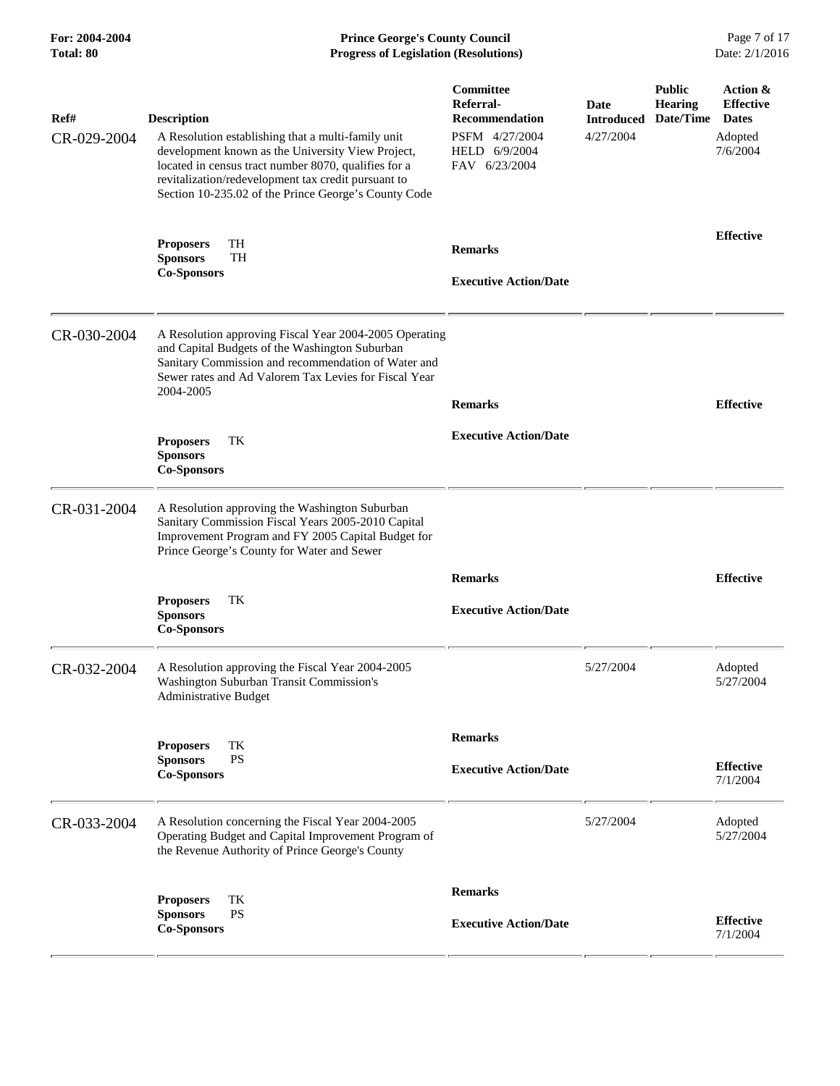## **For: 2004-2004 Prince George's County Council** Page 7 of 17<br> **Prince George's County Council** Page 7 of 17<br> **Progress of Legislation (Resolutions)** Date: 2/1/2016 **Total: 80 Progress of Legislation (Resolutions)**

| Ref#<br>CR-029-2004 | <b>Description</b><br>A Resolution establishing that a multi-family unit<br>development known as the University View Project,<br>located in census tract number 8070, qualifies for a<br>revitalization/redevelopment tax credit pursuant to<br>Section 10-235.02 of the Prince George's County Code | Committee<br>Referral-<br><b>Recommendation</b><br>PSFM 4/27/2004<br>HELD 6/9/2004<br>FAV 6/23/2004 | Date<br><b>Introduced</b><br>4/27/2004 | <b>Public</b><br><b>Hearing</b><br>Date/Time | Action &<br><b>Effective</b><br><b>Dates</b><br>Adopted<br>7/6/2004 |
|---------------------|------------------------------------------------------------------------------------------------------------------------------------------------------------------------------------------------------------------------------------------------------------------------------------------------------|-----------------------------------------------------------------------------------------------------|----------------------------------------|----------------------------------------------|---------------------------------------------------------------------|
|                     | TH<br><b>Proposers</b><br><b>Sponsors</b><br><b>TH</b><br><b>Co-Sponsors</b>                                                                                                                                                                                                                         | <b>Remarks</b><br><b>Executive Action/Date</b>                                                      |                                        |                                              | <b>Effective</b>                                                    |
| CR-030-2004         | A Resolution approving Fiscal Year 2004-2005 Operating<br>and Capital Budgets of the Washington Suburban<br>Sanitary Commission and recommendation of Water and<br>Sewer rates and Ad Valorem Tax Levies for Fiscal Year<br>2004-2005                                                                | <b>Remarks</b>                                                                                      |                                        |                                              | <b>Effective</b>                                                    |
|                     | TK<br><b>Proposers</b><br><b>Sponsors</b><br><b>Co-Sponsors</b>                                                                                                                                                                                                                                      | <b>Executive Action/Date</b>                                                                        |                                        |                                              |                                                                     |
| CR-031-2004         | A Resolution approving the Washington Suburban<br>Sanitary Commission Fiscal Years 2005-2010 Capital<br>Improvement Program and FY 2005 Capital Budget for<br>Prince George's County for Water and Sewer                                                                                             |                                                                                                     |                                        |                                              |                                                                     |
|                     | TK<br><b>Proposers</b><br><b>Sponsors</b><br><b>Co-Sponsors</b>                                                                                                                                                                                                                                      | <b>Remarks</b><br><b>Executive Action/Date</b>                                                      |                                        |                                              | <b>Effective</b>                                                    |
| CR-032-2004         | A Resolution approving the Fiscal Year 2004-2005<br>Washington Suburban Transit Commission's<br>Administrative Budget                                                                                                                                                                                |                                                                                                     | 5/27/2004                              |                                              | Adopted<br>5/27/2004                                                |
|                     | TK<br><b>Proposers</b><br><b>PS</b><br><b>Sponsors</b><br><b>Co-Sponsors</b>                                                                                                                                                                                                                         | <b>Remarks</b><br><b>Executive Action/Date</b>                                                      |                                        |                                              | <b>Effective</b><br>7/1/2004                                        |
| CR-033-2004         | A Resolution concerning the Fiscal Year 2004-2005<br>Operating Budget and Capital Improvement Program of<br>the Revenue Authority of Prince George's County                                                                                                                                          |                                                                                                     | 5/27/2004                              |                                              | Adopted<br>5/27/2004                                                |
|                     | TК<br><b>Proposers</b><br><b>Sponsors</b><br><b>PS</b><br><b>Co-Sponsors</b>                                                                                                                                                                                                                         | <b>Remarks</b><br><b>Executive Action/Date</b>                                                      |                                        |                                              | <b>Effective</b><br>7/1/2004                                        |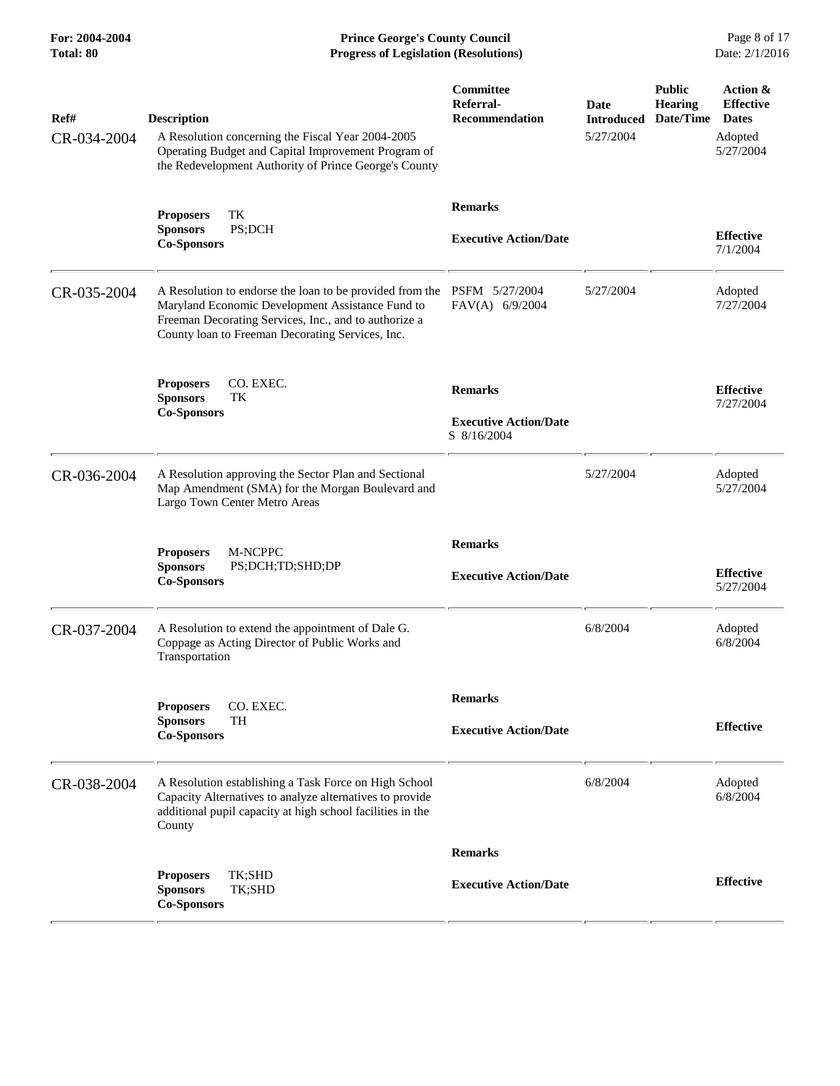| Ref#<br>CR-034-2004 | <b>Description</b><br>A Resolution concerning the Fiscal Year 2004-2005<br>Operating Budget and Capital Improvement Program of<br>the Redevelopment Authority of Prince George's County                                   | Committee<br>Referral-<br><b>Recommendation</b>               | Date<br><b>Introduced</b><br>5/27/2004 | <b>Public</b><br><b>Hearing</b><br>Date/Time | Action &<br><b>Effective</b><br><b>Dates</b><br>Adopted<br>5/27/2004 |
|---------------------|---------------------------------------------------------------------------------------------------------------------------------------------------------------------------------------------------------------------------|---------------------------------------------------------------|----------------------------------------|----------------------------------------------|----------------------------------------------------------------------|
|                     | TK<br><b>Proposers</b><br>PS;DCH<br><b>Sponsors</b><br><b>Co-Sponsors</b>                                                                                                                                                 | <b>Remarks</b><br><b>Executive Action/Date</b>                |                                        |                                              | <b>Effective</b><br>7/1/2004                                         |
| CR-035-2004         | A Resolution to endorse the loan to be provided from the<br>Maryland Economic Development Assistance Fund to<br>Freeman Decorating Services, Inc., and to authorize a<br>County loan to Freeman Decorating Services, Inc. | PSFM 5/27/2004<br>FAV(A) 6/9/2004                             | 5/27/2004                              |                                              | Adopted<br>7/27/2004                                                 |
|                     | CO. EXEC.<br><b>Proposers</b><br>TK<br><b>Sponsors</b><br><b>Co-Sponsors</b>                                                                                                                                              | <b>Remarks</b><br><b>Executive Action/Date</b><br>S 8/16/2004 |                                        |                                              | <b>Effective</b><br>7/27/2004                                        |
| CR-036-2004         | A Resolution approving the Sector Plan and Sectional<br>Map Amendment (SMA) for the Morgan Boulevard and<br>Largo Town Center Metro Areas                                                                                 |                                                               | 5/27/2004                              |                                              | Adopted<br>5/27/2004                                                 |
|                     | <b>Proposers</b><br>M-NCPPC<br>PS;DCH;TD;SHD;DP<br><b>Sponsors</b><br><b>Co-Sponsors</b>                                                                                                                                  | <b>Remarks</b><br><b>Executive Action/Date</b>                |                                        |                                              | <b>Effective</b><br>5/27/2004                                        |
| CR-037-2004         | A Resolution to extend the appointment of Dale G.<br>Coppage as Acting Director of Public Works and<br>Transportation                                                                                                     |                                                               | 6/8/2004                               |                                              | Adopted<br>6/8/2004                                                  |
|                     | CO. EXEC.<br><b>Proposers</b><br><b>Sponsors</b><br>TH<br><b>Co-Sponsors</b>                                                                                                                                              | <b>Remarks</b><br><b>Executive Action/Date</b>                |                                        |                                              | <b>Effective</b>                                                     |
| CR-038-2004         | A Resolution establishing a Task Force on High School<br>Capacity Alternatives to analyze alternatives to provide<br>additional pupil capacity at high school facilities in the<br>County                                 |                                                               | 6/8/2004                               |                                              | Adopted<br>6/8/2004                                                  |
|                     | TK;SHD<br><b>Proposers</b><br><b>Sponsors</b><br>TK;SHD<br><b>Co-Sponsors</b>                                                                                                                                             | <b>Remarks</b><br><b>Executive Action/Date</b>                |                                        |                                              | <b>Effective</b>                                                     |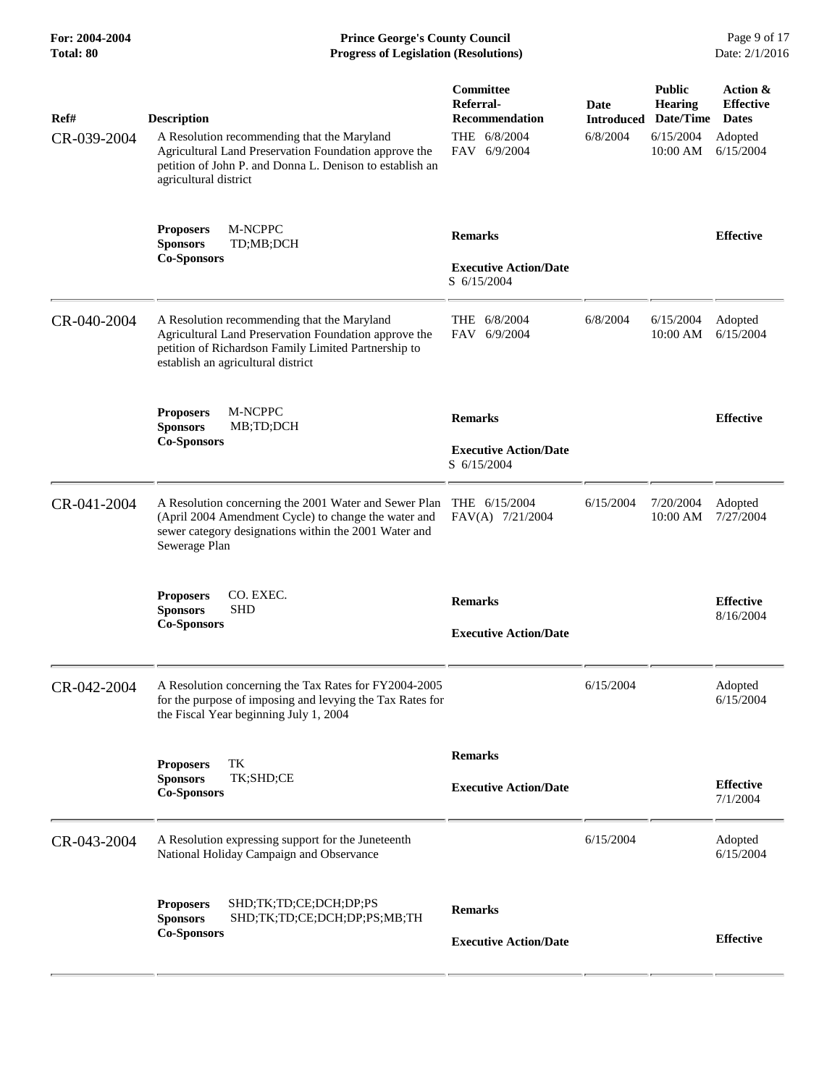**For: 2004-2004 Prince George's County Council** Page 9 of 17<br> **Prince George's County Council** Page 9 of 17<br> **Progress of Legislation (Resolutions)** Date: 2/1/2016 **Total: 80 Progress of Legislation (Resolutions)** 

| Ref#<br>CR-039-2004 | <b>Description</b><br>A Resolution recommending that the Maryland<br>Agricultural Land Preservation Foundation approve the<br>petition of John P. and Donna L. Denison to establish an<br>agricultural district | <b>Committee</b><br>Referral-<br><b>Recommendation</b><br>THE 6/8/2004<br>FAV 6/9/2004 | <b>Date</b><br><b>Introduced</b><br>6/8/2004 | <b>Public</b><br><b>Hearing</b><br>Date/Time<br>6/15/2004<br>10:00 AM | Action &<br><b>Effective</b><br><b>Dates</b><br>Adopted<br>6/15/2004 |
|---------------------|-----------------------------------------------------------------------------------------------------------------------------------------------------------------------------------------------------------------|----------------------------------------------------------------------------------------|----------------------------------------------|-----------------------------------------------------------------------|----------------------------------------------------------------------|
|                     | M-NCPPC<br><b>Proposers</b><br><b>Sponsors</b><br>TD;MB;DCH<br><b>Co-Sponsors</b>                                                                                                                               | <b>Remarks</b><br><b>Executive Action/Date</b><br>S 6/15/2004                          |                                              |                                                                       | <b>Effective</b>                                                     |
| CR-040-2004         | A Resolution recommending that the Maryland<br>Agricultural Land Preservation Foundation approve the<br>petition of Richardson Family Limited Partnership to<br>establish an agricultural district              | THE 6/8/2004<br>FAV 6/9/2004                                                           | 6/8/2004                                     | 6/15/2004<br>10:00 AM                                                 | Adopted<br>6/15/2004                                                 |
|                     | <b>M-NCPPC</b><br><b>Proposers</b><br><b>Sponsors</b><br>MB;TD;DCH<br><b>Co-Sponsors</b>                                                                                                                        | <b>Remarks</b><br><b>Executive Action/Date</b><br>S 6/15/2004                          |                                              |                                                                       | <b>Effective</b>                                                     |
| CR-041-2004         | A Resolution concerning the 2001 Water and Sewer Plan<br>(April 2004 Amendment Cycle) to change the water and<br>sewer category designations within the 2001 Water and<br>Sewerage Plan                         | THE 6/15/2004<br>FAV(A) 7/21/2004                                                      | 6/15/2004                                    | 7/20/2004<br>10:00 AM                                                 | Adopted<br>7/27/2004                                                 |
|                     | CO. EXEC.<br><b>Proposers</b><br><b>Sponsors</b><br><b>SHD</b><br><b>Co-Sponsors</b>                                                                                                                            | <b>Remarks</b><br><b>Executive Action/Date</b>                                         |                                              |                                                                       | <b>Effective</b><br>8/16/2004                                        |
| CR-042-2004         | A Resolution concerning the Tax Rates for FY2004-2005<br>for the purpose of imposing and levying the Tax Rates for<br>the Fiscal Year beginning July 1, 2004                                                    |                                                                                        | 6/15/2004                                    |                                                                       | Adopted<br>6/15/2004                                                 |
|                     | TK<br><b>Proposers</b><br><b>Sponsors</b><br>TK;SHD;CE<br><b>Co-Sponsors</b>                                                                                                                                    | <b>Remarks</b><br><b>Executive Action/Date</b>                                         |                                              |                                                                       | <b>Effective</b><br>7/1/2004                                         |
| CR-043-2004         | A Resolution expressing support for the Juneteenth<br>National Holiday Campaign and Observance                                                                                                                  |                                                                                        | 6/15/2004                                    |                                                                       | Adopted<br>6/15/2004                                                 |
|                     | SHD;TK;TD;CE;DCH;DP;PS<br><b>Proposers</b><br><b>Sponsors</b><br>SHD;TK;TD;CE;DCH;DP;PS;MB;TH<br><b>Co-Sponsors</b>                                                                                             | <b>Remarks</b><br><b>Executive Action/Date</b>                                         |                                              |                                                                       | <b>Effective</b>                                                     |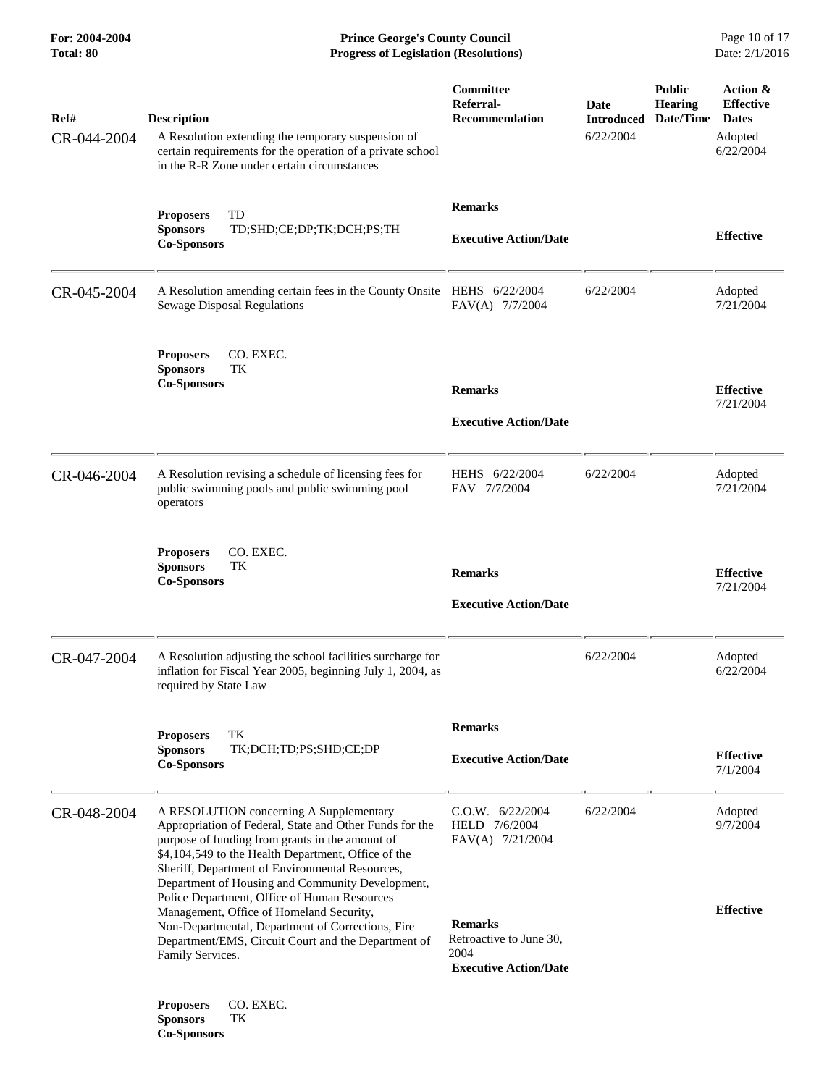**Co-Sponsors** 

**For: 2004-2004 Prince George's County Council** Page 10 of 17<br> **Prince George's County Council** Page 10 of 17<br> **Progress of Legislation (Resolutions)** Date: 2/1/2016 **Total: 80 Progress of Legislation (Resolutions)** 

| Ref#<br>CR-044-2004 | <b>Description</b><br>A Resolution extending the temporary suspension of<br>certain requirements for the operation of a private school<br>in the R-R Zone under certain circumstances                                                                                                                                                                                                                                                                                                                                       | Committee<br>Referral-<br>Recommendation                                                             | Date<br><b>Introduced</b><br>6/22/2004 | <b>Public</b><br><b>Hearing</b><br>Date/Time | Action &<br><b>Effective</b><br><b>Dates</b><br>Adopted<br>6/22/2004 |
|---------------------|-----------------------------------------------------------------------------------------------------------------------------------------------------------------------------------------------------------------------------------------------------------------------------------------------------------------------------------------------------------------------------------------------------------------------------------------------------------------------------------------------------------------------------|------------------------------------------------------------------------------------------------------|----------------------------------------|----------------------------------------------|----------------------------------------------------------------------|
|                     | TD<br><b>Proposers</b><br><b>Sponsors</b><br>TD;SHD;CE;DP;TK;DCH;PS;TH<br><b>Co-Sponsors</b>                                                                                                                                                                                                                                                                                                                                                                                                                                | <b>Remarks</b><br><b>Executive Action/Date</b>                                                       |                                        |                                              | <b>Effective</b>                                                     |
| CR-045-2004         | A Resolution amending certain fees in the County Onsite<br>Sewage Disposal Regulations                                                                                                                                                                                                                                                                                                                                                                                                                                      | HEHS 6/22/2004<br>FAV(A) 7/7/2004                                                                    | 6/22/2004                              |                                              | Adopted<br>7/21/2004                                                 |
|                     | CO. EXEC.<br><b>Proposers</b><br><b>Sponsors</b><br>TК<br><b>Co-Sponsors</b>                                                                                                                                                                                                                                                                                                                                                                                                                                                | <b>Remarks</b><br><b>Executive Action/Date</b>                                                       |                                        |                                              | <b>Effective</b><br>7/21/2004                                        |
| CR-046-2004         | A Resolution revising a schedule of licensing fees for<br>public swimming pools and public swimming pool<br>operators                                                                                                                                                                                                                                                                                                                                                                                                       | HEHS 6/22/2004<br>FAV 7/7/2004                                                                       | 6/22/2004                              |                                              | Adopted<br>7/21/2004                                                 |
|                     | CO. EXEC.<br><b>Proposers</b><br><b>Sponsors</b><br>TК<br><b>Co-Sponsors</b>                                                                                                                                                                                                                                                                                                                                                                                                                                                | <b>Remarks</b><br><b>Executive Action/Date</b>                                                       |                                        |                                              | <b>Effective</b><br>7/21/2004                                        |
| CR-047-2004         | A Resolution adjusting the school facilities surcharge for<br>inflation for Fiscal Year 2005, beginning July 1, 2004, as<br>required by State Law                                                                                                                                                                                                                                                                                                                                                                           |                                                                                                      | 6/22/2004                              |                                              | Adopted<br>6/22/2004                                                 |
|                     | TK<br><b>Proposers</b><br><b>Sponsors</b><br>TK;DCH;TD;PS;SHD;CE;DP<br><b>Co-Sponsors</b>                                                                                                                                                                                                                                                                                                                                                                                                                                   | <b>Remarks</b><br><b>Executive Action/Date</b>                                                       |                                        |                                              | <b>Effective</b><br>7/1/2004                                         |
| CR-048-2004         | A RESOLUTION concerning A Supplementary<br>Appropriation of Federal, State and Other Funds for the<br>purpose of funding from grants in the amount of<br>\$4,104,549 to the Health Department, Office of the<br>Sheriff, Department of Environmental Resources,<br>Department of Housing and Community Development,<br>Police Department, Office of Human Resources<br>Management, Office of Homeland Security,<br>Non-Departmental, Department of Corrections, Fire<br>Department/EMS, Circuit Court and the Department of | $C.0.W.$ 6/22/2004<br>HELD 7/6/2004<br>FAV(A) 7/21/2004<br><b>Remarks</b><br>Retroactive to June 30, | 6/22/2004                              |                                              | Adopted<br>9/7/2004<br><b>Effective</b>                              |
|                     | Family Services.<br>CO. EXEC.<br><b>Proposers</b><br><b>Sponsors</b><br>TK                                                                                                                                                                                                                                                                                                                                                                                                                                                  | 2004<br><b>Executive Action/Date</b>                                                                 |                                        |                                              |                                                                      |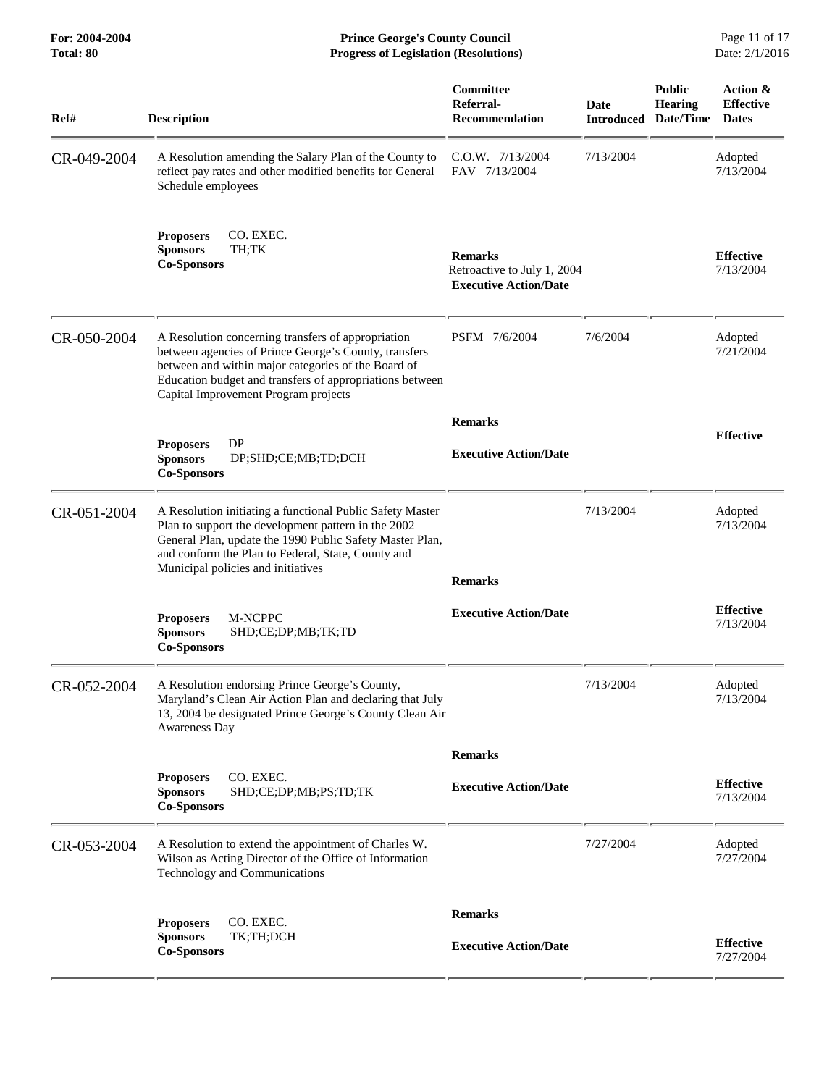**For: 2004-2004 Prince George's County Council** Page 11 of 17<br> **Prince George's County Council** Page 11 of 17<br> **Progress of Legislation (Resolutions)** Date: 2/1/2016 **Total: 80 Progress of Legislation (Resolutions)** 

| Ref#        | <b>Description</b>                                                                                                                                                                                                                                                       | Committee<br>Referral-<br><b>Recommendation</b>                               | <b>Date</b><br><b>Introduced</b> | <b>Public</b><br><b>Hearing</b><br>Date/Time | Action &<br><b>Effective</b><br><b>Dates</b> |
|-------------|--------------------------------------------------------------------------------------------------------------------------------------------------------------------------------------------------------------------------------------------------------------------------|-------------------------------------------------------------------------------|----------------------------------|----------------------------------------------|----------------------------------------------|
| CR-049-2004 | A Resolution amending the Salary Plan of the County to<br>reflect pay rates and other modified benefits for General<br>Schedule employees                                                                                                                                | $C.O.W.$ $7/13/2004$<br>FAV 7/13/2004                                         | 7/13/2004                        |                                              | Adopted<br>7/13/2004                         |
|             | <b>Proposers</b><br>CO. EXEC.<br><b>Sponsors</b><br>TH;TK<br><b>Co-Sponsors</b>                                                                                                                                                                                          | <b>Remarks</b><br>Retroactive to July 1, 2004<br><b>Executive Action/Date</b> |                                  |                                              | <b>Effective</b><br>7/13/2004                |
| CR-050-2004 | A Resolution concerning transfers of appropriation<br>between agencies of Prince George's County, transfers<br>between and within major categories of the Board of<br>Education budget and transfers of appropriations between<br>Capital Improvement Program projects   | PSFM 7/6/2004                                                                 | 7/6/2004                         |                                              | Adopted<br>7/21/2004                         |
|             | DP<br><b>Proposers</b><br><b>Sponsors</b><br>DP;SHD;CE;MB;TD;DCH<br><b>Co-Sponsors</b>                                                                                                                                                                                   | <b>Remarks</b><br><b>Executive Action/Date</b>                                |                                  |                                              | <b>Effective</b>                             |
| CR-051-2004 | A Resolution initiating a functional Public Safety Master<br>Plan to support the development pattern in the 2002<br>General Plan, update the 1990 Public Safety Master Plan,<br>and conform the Plan to Federal, State, County and<br>Municipal policies and initiatives | <b>Remarks</b>                                                                | 7/13/2004                        |                                              | Adopted<br>7/13/2004                         |
|             | M-NCPPC<br><b>Proposers</b><br><b>Sponsors</b><br>SHD;CE;DP;MB;TK;TD<br><b>Co-Sponsors</b>                                                                                                                                                                               | <b>Executive Action/Date</b>                                                  |                                  |                                              | <b>Effective</b><br>7/13/2004                |
| CR-052-2004 | A Resolution endorsing Prince George's County,<br>Maryland's Clean Air Action Plan and declaring that July<br>13, 2004 be designated Prince George's County Clean Air<br><b>Awareness Day</b>                                                                            |                                                                               | 7/13/2004                        |                                              | Adopted<br>7/13/2004                         |
|             |                                                                                                                                                                                                                                                                          | <b>Remarks</b>                                                                |                                  |                                              |                                              |
|             | CO. EXEC.<br><b>Proposers</b><br><b>Sponsors</b><br>SHD;CE;DP;MB;PS;TD;TK<br><b>Co-Sponsors</b>                                                                                                                                                                          | <b>Executive Action/Date</b>                                                  |                                  |                                              | <b>Effective</b><br>7/13/2004                |
| CR-053-2004 | A Resolution to extend the appointment of Charles W.<br>Wilson as Acting Director of the Office of Information<br>Technology and Communications                                                                                                                          |                                                                               | 7/27/2004                        |                                              | Adopted<br>7/27/2004                         |
|             | <b>Proposers</b><br>CO. EXEC.<br>TK;TH;DCH<br><b>Sponsors</b><br><b>Co-Sponsors</b>                                                                                                                                                                                      | <b>Remarks</b><br><b>Executive Action/Date</b>                                |                                  |                                              | <b>Effective</b><br>7/27/2004                |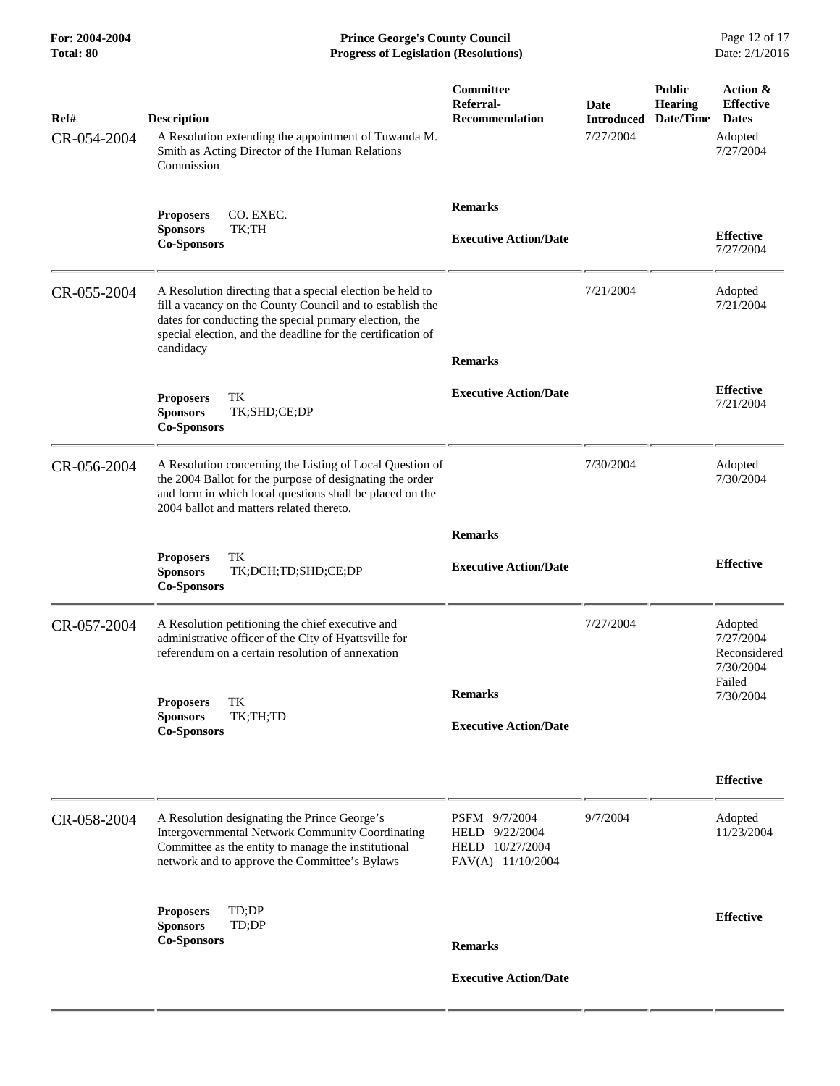**For: 2004-2004 Prince George's County Council** Page 12 of 17<br> **Prince George's County Council** Page 12 of 17<br> **Progress of Legislation (Resolutions)** Date: 2/1/2016 **Total: 80 Progress of Legislation (Resolutions)** 

| Ref#<br>CR-054-2004 | <b>Description</b><br>A Resolution extending the appointment of Tuwanda M.<br>Smith as Acting Director of the Human Relations<br>Commission                                                                                                                  | Committee<br>Referral-<br><b>Recommendation</b>                         | Date<br><b>Introduced</b><br>7/27/2004 | <b>Public</b><br><b>Hearing</b><br>Date/Time | Action &<br><b>Effective</b><br><b>Dates</b><br>Adopted<br>7/27/2004 |
|---------------------|--------------------------------------------------------------------------------------------------------------------------------------------------------------------------------------------------------------------------------------------------------------|-------------------------------------------------------------------------|----------------------------------------|----------------------------------------------|----------------------------------------------------------------------|
|                     | CO. EXEC.<br><b>Proposers</b><br>TK;TH<br><b>Sponsors</b><br><b>Co-Sponsors</b>                                                                                                                                                                              | <b>Remarks</b><br><b>Executive Action/Date</b>                          |                                        |                                              | <b>Effective</b><br>7/27/2004                                        |
| CR-055-2004         | A Resolution directing that a special election be held to<br>fill a vacancy on the County Council and to establish the<br>dates for conducting the special primary election, the<br>special election, and the deadline for the certification of<br>candidacy | <b>Remarks</b>                                                          | 7/21/2004                              |                                              | Adopted<br>7/21/2004                                                 |
|                     | TK<br><b>Proposers</b><br><b>Sponsors</b><br>TK;SHD;CE;DP<br><b>Co-Sponsors</b>                                                                                                                                                                              | <b>Executive Action/Date</b>                                            |                                        |                                              | <b>Effective</b><br>7/21/2004                                        |
| CR-056-2004         | A Resolution concerning the Listing of Local Question of<br>the 2004 Ballot for the purpose of designating the order<br>and form in which local questions shall be placed on the<br>2004 ballot and matters related thereto.                                 |                                                                         | 7/30/2004                              |                                              | Adopted<br>7/30/2004                                                 |
|                     | TK<br><b>Proposers</b><br>TK;DCH;TD;SHD;CE;DP<br><b>Sponsors</b><br><b>Co-Sponsors</b>                                                                                                                                                                       | <b>Remarks</b><br><b>Executive Action/Date</b>                          |                                        |                                              | <b>Effective</b>                                                     |
| CR-057-2004         | A Resolution petitioning the chief executive and<br>administrative officer of the City of Hyattsville for<br>referendum on a certain resolution of annexation                                                                                                |                                                                         | 7/27/2004                              |                                              | Adopted<br>7/27/2004<br>Reconsidered<br>7/30/2004                    |
|                     | TK<br><b>Proposers</b><br><b>Sponsors</b><br>TK;TH;TD<br><b>Co-Sponsors</b>                                                                                                                                                                                  | <b>Remarks</b><br><b>Executive Action/Date</b>                          |                                        |                                              | Failed<br>7/30/2004                                                  |
|                     |                                                                                                                                                                                                                                                              |                                                                         |                                        |                                              | <b>Effective</b>                                                     |
| CR-058-2004         | A Resolution designating the Prince George's<br>Intergovernmental Network Community Coordinating<br>Committee as the entity to manage the institutional<br>network and to approve the Committee's Bylaws                                                     | PSFM 9/7/2004<br>HELD 9/22/2004<br>HELD 10/27/2004<br>FAV(A) 11/10/2004 | 9/7/2004                               |                                              | Adopted<br>11/23/2004                                                |
|                     | TD;DP<br><b>Proposers</b><br>TD;DP<br><b>Sponsors</b><br><b>Co-Sponsors</b>                                                                                                                                                                                  | <b>Remarks</b>                                                          |                                        |                                              | <b>Effective</b>                                                     |
|                     |                                                                                                                                                                                                                                                              | <b>Executive Action/Date</b>                                            |                                        |                                              |                                                                      |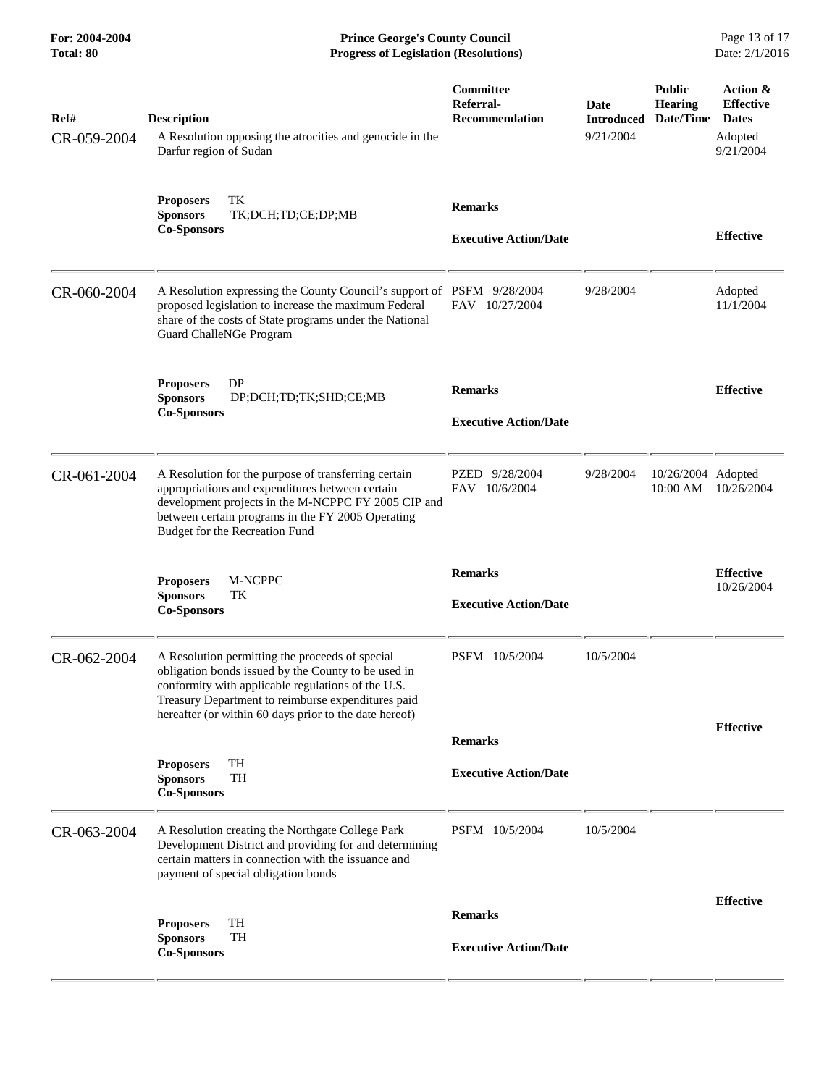**For: 2004-2004 Prince George's County Council** Page 13 of 17<br> **Prince George's County Council** Page 13 of 17<br> **Progress of Legislation (Resolutions)** Date: 2/1/2016 **Total: 80 Progress of Legislation (Resolutions)** 

| Ref#<br>CR-059-2004 | <b>Description</b><br>Darfur region of Sudan              | A Resolution opposing the atrocities and genocide in the                                                                                                                                                                                                                     | Committee<br>Referral-<br><b>Recommendation</b> | <b>Date</b><br><b>Introduced</b><br>9/21/2004 | <b>Public</b><br><b>Hearing</b><br>Date/Time | Action &<br><b>Effective</b><br><b>Dates</b><br>Adopted<br>9/21/2004 |
|---------------------|-----------------------------------------------------------|------------------------------------------------------------------------------------------------------------------------------------------------------------------------------------------------------------------------------------------------------------------------------|-------------------------------------------------|-----------------------------------------------|----------------------------------------------|----------------------------------------------------------------------|
|                     | <b>Proposers</b><br><b>Sponsors</b><br><b>Co-Sponsors</b> | TK<br>TK;DCH;TD;CE;DP;MB                                                                                                                                                                                                                                                     | <b>Remarks</b><br><b>Executive Action/Date</b>  |                                               |                                              | <b>Effective</b>                                                     |
| CR-060-2004         |                                                           | A Resolution expressing the County Council's support of PSFM 9/28/2004<br>proposed legislation to increase the maximum Federal<br>share of the costs of State programs under the National<br>Guard ChalleNGe Program                                                         | FAV 10/27/2004                                  | 9/28/2004                                     |                                              | Adopted<br>11/1/2004                                                 |
|                     | <b>Proposers</b><br><b>Sponsors</b><br><b>Co-Sponsors</b> | <b>DP</b><br>DP;DCH;TD;TK;SHD;CE;MB                                                                                                                                                                                                                                          | <b>Remarks</b><br><b>Executive Action/Date</b>  |                                               |                                              | <b>Effective</b>                                                     |
| CR-061-2004         |                                                           | A Resolution for the purpose of transferring certain<br>appropriations and expenditures between certain<br>development projects in the M-NCPPC FY 2005 CIP and<br>between certain programs in the FY 2005 Operating<br>Budget for the Recreation Fund                        | PZED 9/28/2004<br>FAV 10/6/2004                 | 9/28/2004                                     | 10/26/2004 Adopted<br>10:00 AM               | 10/26/2004                                                           |
|                     | <b>Proposers</b><br><b>Sponsors</b><br><b>Co-Sponsors</b> | M-NCPPC<br>TК                                                                                                                                                                                                                                                                | <b>Remarks</b><br><b>Executive Action/Date</b>  |                                               |                                              | <b>Effective</b><br>10/26/2004                                       |
| CR-062-2004         |                                                           | A Resolution permitting the proceeds of special<br>obligation bonds issued by the County to be used in<br>conformity with applicable regulations of the U.S.<br>Treasury Department to reimburse expenditures paid<br>hereafter (or within 60 days prior to the date hereof) | PSFM 10/5/2004                                  | 10/5/2004                                     |                                              |                                                                      |
|                     |                                                           |                                                                                                                                                                                                                                                                              | <b>Remarks</b>                                  |                                               |                                              | <b>Effective</b>                                                     |
|                     | <b>Proposers</b><br><b>Sponsors</b><br><b>Co-Sponsors</b> | TH<br>TH                                                                                                                                                                                                                                                                     | <b>Executive Action/Date</b>                    |                                               |                                              |                                                                      |
| CR-063-2004         |                                                           | A Resolution creating the Northgate College Park<br>Development District and providing for and determining<br>certain matters in connection with the issuance and<br>payment of special obligation bonds                                                                     | PSFM 10/5/2004                                  | 10/5/2004                                     |                                              |                                                                      |
|                     | <b>Proposers</b><br><b>Sponsors</b>                       | TH<br>TH                                                                                                                                                                                                                                                                     | <b>Remarks</b><br><b>Executive Action/Date</b>  |                                               |                                              | <b>Effective</b>                                                     |
|                     | <b>Co-Sponsors</b>                                        |                                                                                                                                                                                                                                                                              |                                                 |                                               |                                              |                                                                      |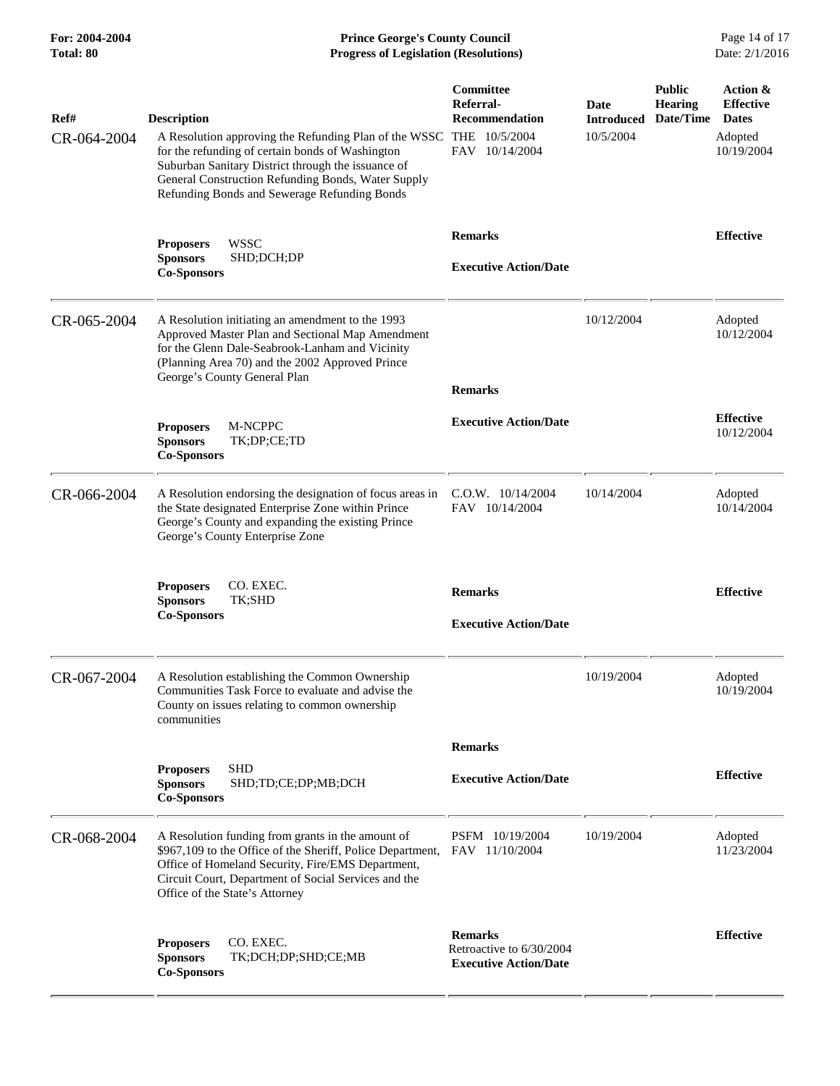**For: 2004-2004 Prince George's County Council** Page 14 of 17<br> **Prince George's County Council** Page 14 of 17<br> **Progress of Legislation (Resolutions)** Date: 2/1/2016 **Total: 80 Progress of Legislation (Resolutions)** 

| Ref#<br>CR-064-2004 | <b>Description</b><br>A Resolution approving the Refunding Plan of the WSSC<br>for the refunding of certain bonds of Washington<br>Suburban Sanitary District through the issuance of<br>General Construction Refunding Bonds, Water Supply<br>Refunding Bonds and Sewerage Refunding Bonds | Committee<br>Referral-<br><b>Recommendation</b><br>THE 10/5/2004<br>FAV 10/14/2004 | Date<br><b>Introduced</b><br>10/5/2004 | <b>Public</b><br><b>Hearing</b><br>Date/Time | Action &<br><b>Effective</b><br><b>Dates</b><br>Adopted<br>10/19/2004 |
|---------------------|---------------------------------------------------------------------------------------------------------------------------------------------------------------------------------------------------------------------------------------------------------------------------------------------|------------------------------------------------------------------------------------|----------------------------------------|----------------------------------------------|-----------------------------------------------------------------------|
|                     | <b>WSSC</b><br><b>Proposers</b><br><b>Sponsors</b><br>SHD;DCH;DP<br><b>Co-Sponsors</b>                                                                                                                                                                                                      | <b>Remarks</b><br><b>Executive Action/Date</b>                                     |                                        |                                              | <b>Effective</b>                                                      |
| CR-065-2004         | A Resolution initiating an amendment to the 1993<br>Approved Master Plan and Sectional Map Amendment<br>for the Glenn Dale-Seabrook-Lanham and Vicinity<br>(Planning Area 70) and the 2002 Approved Prince<br>George's County General Plan                                                  | <b>Remarks</b>                                                                     | 10/12/2004                             |                                              | Adopted<br>10/12/2004                                                 |
|                     | M-NCPPC<br><b>Proposers</b><br><b>Sponsors</b><br>TK;DP;CE;TD<br><b>Co-Sponsors</b>                                                                                                                                                                                                         | <b>Executive Action/Date</b>                                                       |                                        |                                              | <b>Effective</b><br>10/12/2004                                        |
| CR-066-2004         | A Resolution endorsing the designation of focus areas in<br>the State designated Enterprise Zone within Prince<br>George's County and expanding the existing Prince<br>George's County Enterprise Zone                                                                                      | $C.0.W.$ $10/14/2004$<br>FAV 10/14/2004                                            | 10/14/2004                             |                                              | Adopted<br>10/14/2004                                                 |
|                     | <b>Proposers</b><br>CO. EXEC.<br>TK;SHD<br><b>Sponsors</b><br><b>Co-Sponsors</b>                                                                                                                                                                                                            | <b>Remarks</b><br><b>Executive Action/Date</b>                                     |                                        |                                              | <b>Effective</b>                                                      |
| CR-067-2004         | A Resolution establishing the Common Ownership<br>Communities Task Force to evaluate and advise the<br>County on issues relating to common ownership<br>communities                                                                                                                         |                                                                                    | 10/19/2004                             |                                              | Adopted<br>10/19/2004                                                 |
|                     | <b>SHD</b><br><b>Proposers</b><br><b>Sponsors</b><br>SHD;TD;CE;DP;MB;DCH<br><b>Co-Sponsors</b>                                                                                                                                                                                              | <b>Remarks</b><br><b>Executive Action/Date</b>                                     |                                        |                                              | <b>Effective</b>                                                      |
| CR-068-2004         | A Resolution funding from grants in the amount of<br>\$967,109 to the Office of the Sheriff, Police Department,<br>Office of Homeland Security, Fire/EMS Department,<br>Circuit Court, Department of Social Services and the<br>Office of the State's Attorney                              | PSFM 10/19/2004<br>FAV 11/10/2004                                                  | 10/19/2004                             |                                              | Adopted<br>11/23/2004                                                 |
|                     | CO. EXEC.<br><b>Proposers</b><br>TK;DCH;DP;SHD;CE;MB<br><b>Sponsors</b><br><b>Co-Sponsors</b>                                                                                                                                                                                               | <b>Remarks</b><br>Retroactive to 6/30/2004<br><b>Executive Action/Date</b>         |                                        |                                              | <b>Effective</b>                                                      |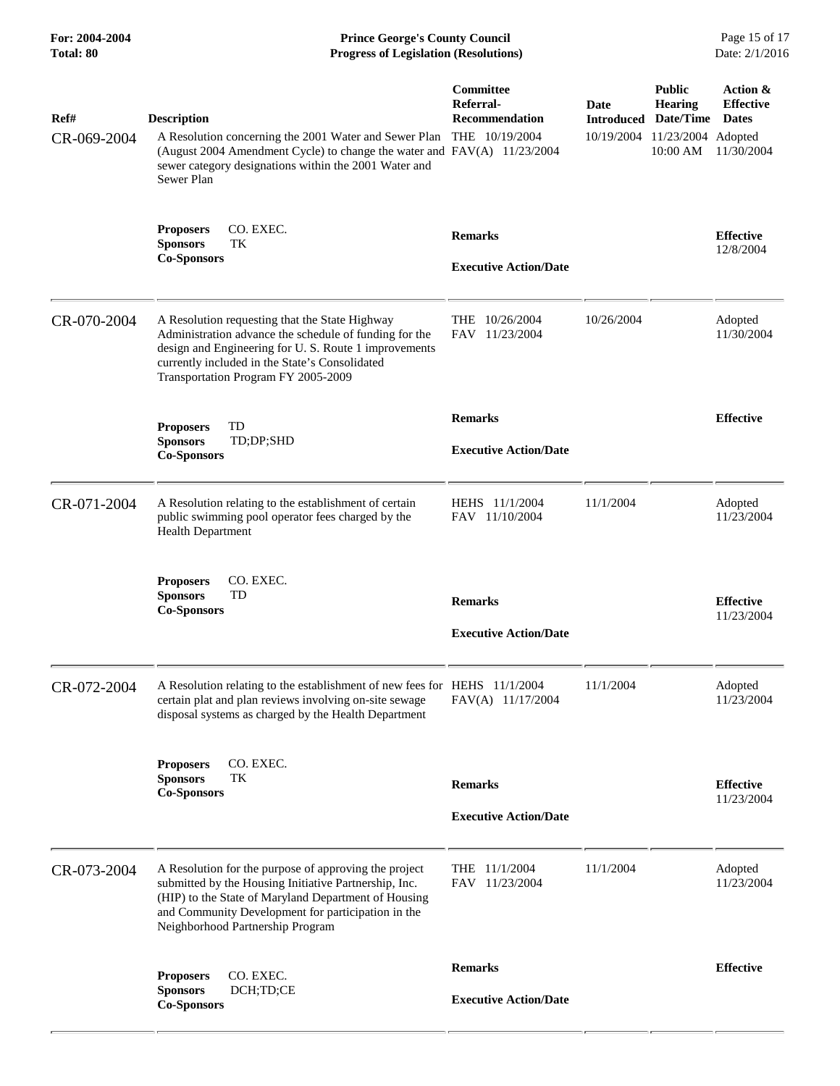| For: 2004-2004<br>Total: 80 | <b>Prince George's County Council</b><br><b>Progress of Legislation (Resolutions)</b>                                                                                                                                                                            |                                                                   |                                         |                                                                                | Page 15 of 17<br>Date: 2/1/2016                            |
|-----------------------------|------------------------------------------------------------------------------------------------------------------------------------------------------------------------------------------------------------------------------------------------------------------|-------------------------------------------------------------------|-----------------------------------------|--------------------------------------------------------------------------------|------------------------------------------------------------|
| Ref#<br>CR-069-2004         | <b>Description</b><br>A Resolution concerning the 2001 Water and Sewer Plan<br>(August 2004 Amendment Cycle) to change the water and FAV(A) 11/23/2004<br>sewer category designations within the 2001 Water and<br>Sewer Plan                                    | Committee<br>Referral-<br><b>Recommendation</b><br>THE 10/19/2004 | Date<br><b>Introduced</b><br>10/19/2004 | <b>Public</b><br><b>Hearing</b><br>Date/Time<br>11/23/2004 Adopted<br>10:00 AM | Action &<br><b>Effective</b><br><b>Dates</b><br>11/30/2004 |
|                             | CO. EXEC.<br><b>Proposers</b><br><b>Sponsors</b><br>TK<br><b>Co-Sponsors</b>                                                                                                                                                                                     | <b>Remarks</b><br><b>Executive Action/Date</b>                    |                                         |                                                                                | <b>Effective</b><br>12/8/2004                              |
| CR-070-2004                 | A Resolution requesting that the State Highway<br>Administration advance the schedule of funding for the<br>design and Engineering for U.S. Route 1 improvements<br>currently included in the State's Consolidated<br>Transportation Program FY 2005-2009        | THE 10/26/2004<br>FAV 11/23/2004                                  | 10/26/2004                              |                                                                                | Adopted<br>11/30/2004                                      |
|                             | TD<br><b>Proposers</b><br><b>Sponsors</b><br>TD;DP;SHD<br><b>Co-Sponsors</b>                                                                                                                                                                                     | <b>Remarks</b><br><b>Executive Action/Date</b>                    |                                         |                                                                                | <b>Effective</b>                                           |
| CR-071-2004                 | A Resolution relating to the establishment of certain<br>public swimming pool operator fees charged by the<br><b>Health Department</b>                                                                                                                           | HEHS 11/1/2004<br>FAV 11/10/2004                                  | 11/1/2004                               |                                                                                | Adopted<br>11/23/2004                                      |
|                             | CO. EXEC.<br><b>Proposers</b><br><b>Sponsors</b><br>TD<br><b>Co-Sponsors</b>                                                                                                                                                                                     | <b>Remarks</b><br><b>Executive Action/Date</b>                    |                                         |                                                                                | <b>Effective</b><br>11/23/2004                             |
| CR-072-2004                 | A Resolution relating to the establishment of new fees for HEHS 11/1/2004<br>certain plat and plan reviews involving on-site sewage<br>disposal systems as charged by the Health Department                                                                      | FAV(A) 11/17/2004                                                 | 11/1/2004                               |                                                                                | Adopted<br>11/23/2004                                      |
|                             | CO. EXEC.<br><b>Proposers</b><br><b>Sponsors</b><br>TK<br><b>Co-Sponsors</b>                                                                                                                                                                                     | <b>Remarks</b><br><b>Executive Action/Date</b>                    |                                         |                                                                                | <b>Effective</b><br>11/23/2004                             |
| CR-073-2004                 | A Resolution for the purpose of approving the project<br>submitted by the Housing Initiative Partnership, Inc.<br>(HIP) to the State of Maryland Department of Housing<br>and Community Development for participation in the<br>Neighborhood Partnership Program | THE 11/1/2004<br>FAV 11/23/2004                                   | 11/1/2004                               |                                                                                | Adopted<br>11/23/2004                                      |
|                             | CO. EXEC.<br><b>Proposers</b>                                                                                                                                                                                                                                    | <b>Remarks</b>                                                    |                                         |                                                                                | <b>Effective</b>                                           |
|                             | DCH;TD;CE<br><b>Sponsors</b><br><b>Co-Sponsors</b>                                                                                                                                                                                                               | <b>Executive Action/Date</b>                                      |                                         |                                                                                |                                                            |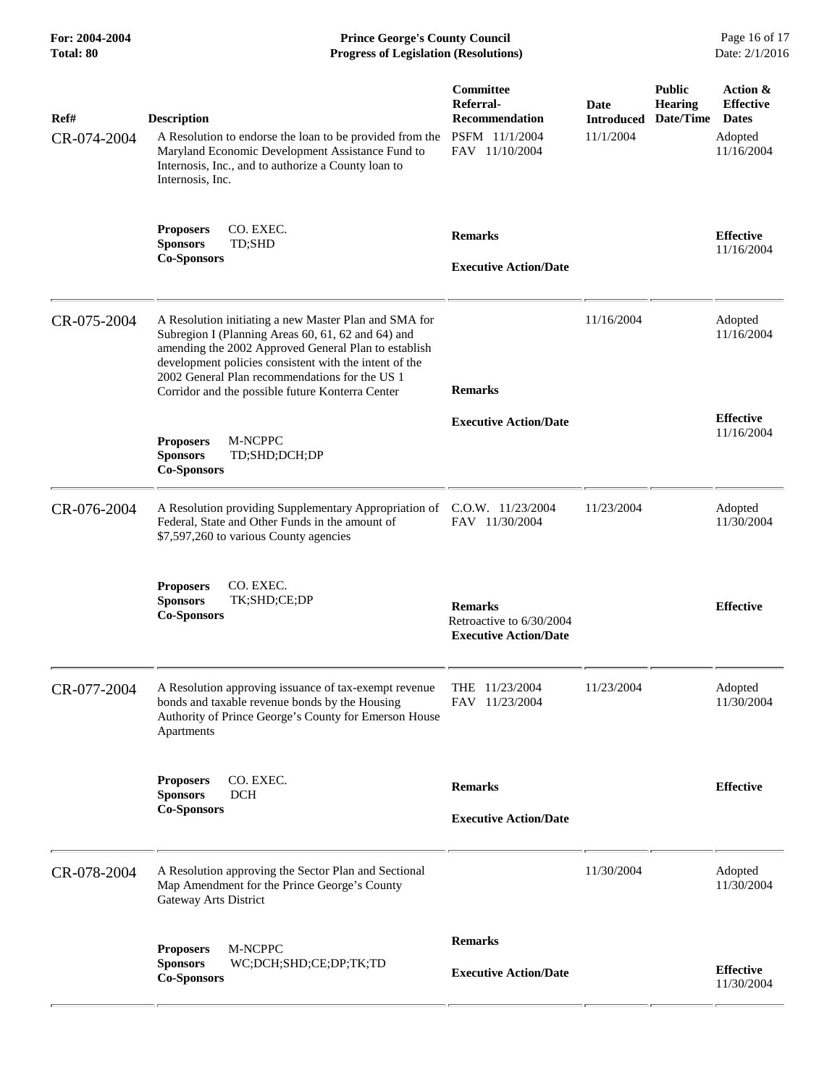| For: 2004-2004<br><b>Total: 80</b> | <b>Prince George's County Council</b><br><b>Progress of Legislation (Resolutions)</b>                                                                                                                                                                                                                                               |                                                                                     |                                        |                                              | Page 16 of 17<br>Date: 2/1/2016                                       |
|------------------------------------|-------------------------------------------------------------------------------------------------------------------------------------------------------------------------------------------------------------------------------------------------------------------------------------------------------------------------------------|-------------------------------------------------------------------------------------|----------------------------------------|----------------------------------------------|-----------------------------------------------------------------------|
| Ref#<br>CR-074-2004                | <b>Description</b><br>A Resolution to endorse the loan to be provided from the<br>Maryland Economic Development Assistance Fund to<br>Internosis, Inc., and to authorize a County loan to<br>Internosis, Inc.                                                                                                                       | Committee<br>Referral-<br><b>Recommendation</b><br>PSFM 11/1/2004<br>FAV 11/10/2004 | Date<br><b>Introduced</b><br>11/1/2004 | <b>Public</b><br><b>Hearing</b><br>Date/Time | Action &<br><b>Effective</b><br><b>Dates</b><br>Adopted<br>11/16/2004 |
|                                    | CO. EXEC.<br><b>Proposers</b><br><b>Sponsors</b><br>TD;SHD<br><b>Co-Sponsors</b>                                                                                                                                                                                                                                                    | <b>Remarks</b><br><b>Executive Action/Date</b>                                      |                                        |                                              | <b>Effective</b><br>11/16/2004                                        |
| CR-075-2004                        | A Resolution initiating a new Master Plan and SMA for<br>Subregion I (Planning Areas 60, 61, 62 and 64) and<br>amending the 2002 Approved General Plan to establish<br>development policies consistent with the intent of the<br>2002 General Plan recommendations for the US 1<br>Corridor and the possible future Konterra Center | <b>Remarks</b>                                                                      | 11/16/2004                             |                                              | Adopted<br>11/16/2004                                                 |
|                                    | <b>Proposers</b><br>M-NCPPC<br><b>Sponsors</b><br>TD;SHD;DCH;DP<br><b>Co-Sponsors</b>                                                                                                                                                                                                                                               | <b>Executive Action/Date</b>                                                        |                                        |                                              | <b>Effective</b><br>11/16/2004                                        |
| CR-076-2004                        | A Resolution providing Supplementary Appropriation of<br>Federal, State and Other Funds in the amount of<br>\$7,597,260 to various County agencies                                                                                                                                                                                  | C.O.W. 11/23/2004<br>FAV 11/30/2004                                                 | 11/23/2004                             |                                              | Adopted<br>11/30/2004                                                 |
|                                    | CO. EXEC.<br><b>Proposers</b><br><b>Sponsors</b><br>TK;SHD;CE;DP<br><b>Co-Sponsors</b>                                                                                                                                                                                                                                              | <b>Remarks</b><br>Retroactive to 6/30/2004<br><b>Executive Action/Date</b>          |                                        |                                              | <b>Effective</b>                                                      |
| CR-077-2004                        | A Resolution approving issuance of tax-exempt revenue<br>bonds and taxable revenue bonds by the Housing<br>Authority of Prince George's County for Emerson House<br>Apartments                                                                                                                                                      | THE 11/23/2004<br>FAV 11/23/2004                                                    | 11/23/2004                             |                                              | Adopted<br>11/30/2004                                                 |
|                                    | CO. EXEC.<br><b>Proposers</b><br><b>Sponsors</b><br><b>DCH</b><br><b>Co-Sponsors</b>                                                                                                                                                                                                                                                | <b>Remarks</b><br><b>Executive Action/Date</b>                                      |                                        |                                              | <b>Effective</b>                                                      |
| CR-078-2004                        | A Resolution approving the Sector Plan and Sectional<br>Map Amendment for the Prince George's County<br>Gateway Arts District                                                                                                                                                                                                       |                                                                                     | 11/30/2004                             |                                              | Adopted<br>11/30/2004                                                 |
|                                    | M-NCPPC<br><b>Proposers</b>                                                                                                                                                                                                                                                                                                         | <b>Remarks</b>                                                                      |                                        |                                              |                                                                       |
|                                    | <b>Sponsors</b><br>WC;DCH;SHD;CE;DP;TK;TD<br><b>Co-Sponsors</b>                                                                                                                                                                                                                                                                     | <b>Executive Action/Date</b>                                                        |                                        |                                              | <b>Effective</b><br>11/30/2004                                        |